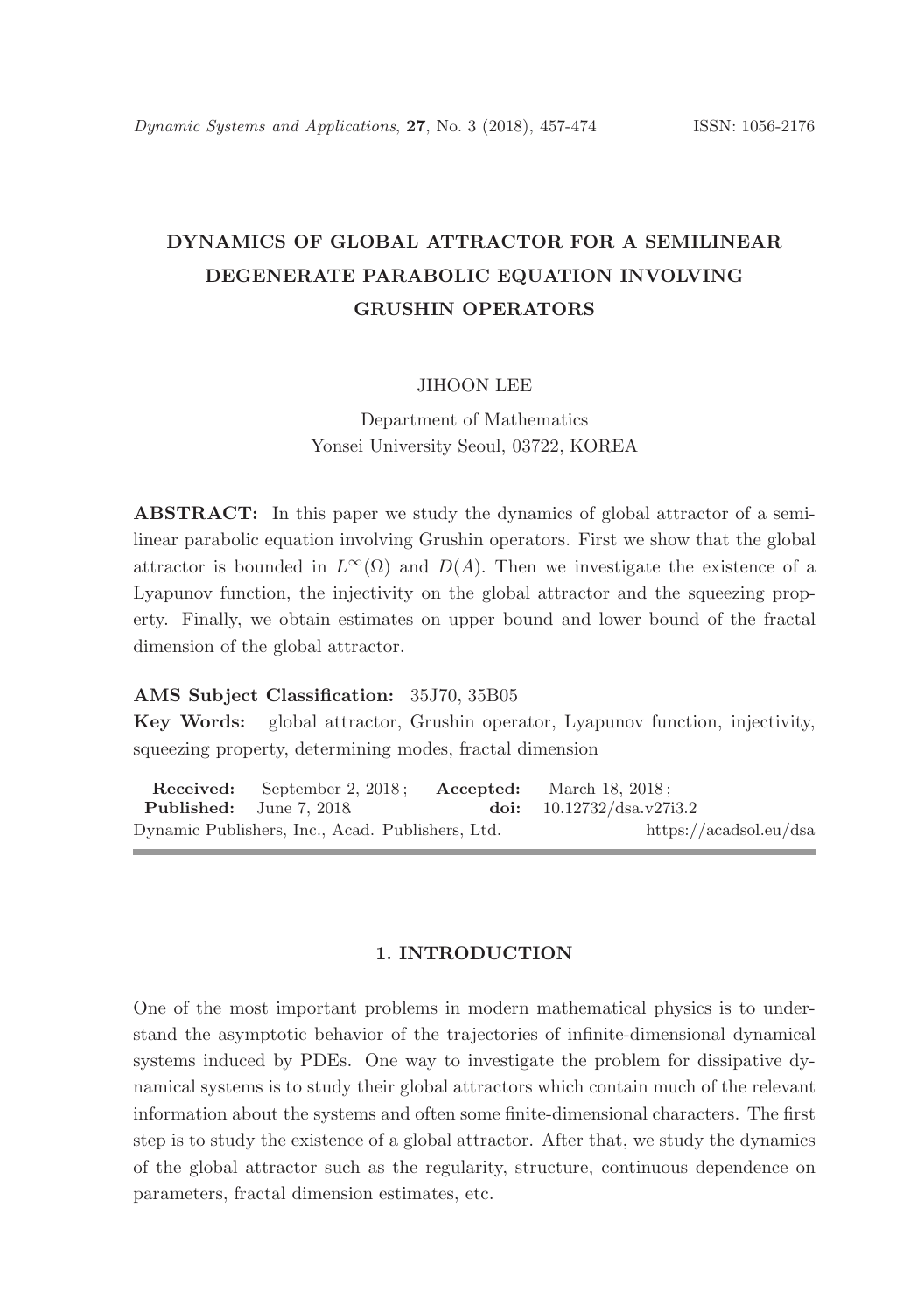# DYNAMICS OF GLOBAL ATTRACTOR FOR A SEMILINEAR DEGENERATE PARABOLIC EQUATION INVOLVING GRUSHIN OPERATORS

#### JIHOON LEE

Department of Mathematics Yonsei University Seoul, 03722, KOREA

ABSTRACT: In this paper we study the dynamics of global attractor of a semilinear parabolic equation involving Grushin operators. First we show that the global attractor is bounded in  $L^{\infty}(\Omega)$  and  $D(A)$ . Then we investigate the existence of a Lyapunov function, the injectivity on the global attractor and the squeezing property. Finally, we obtain estimates on upper bound and lower bound of the fractal dimension of the global attractor.

#### AMS Subject Classification: 35J70, 35B05

Key Words: global attractor, Grushin operator, Lyapunov function, injectivity, squeezing property, determining modes, fractal dimension

Received: September 2, 2018; Accepted: March 18, 2018;<br>Published: June 7, 2018 ; doi: 10.12732/dsa.v27; June 7, 2018. **doi:** 10.12732/dsa.v27i3.2 Dynamic Publishers, Inc., Acad. Publishers, Ltd. https://acadsol.eu/dsa

# 1. INTRODUCTION

One of the most important problems in modern mathematical physics is to understand the asymptotic behavior of the trajectories of infinite-dimensional dynamical systems induced by PDEs. One way to investigate the problem for dissipative dynamical systems is to study their global attractors which contain much of the relevant information about the systems and often some finite-dimensional characters. The first step is to study the existence of a global attractor. After that, we study the dynamics of the global attractor such as the regularity, structure, continuous dependence on parameters, fractal dimension estimates, etc.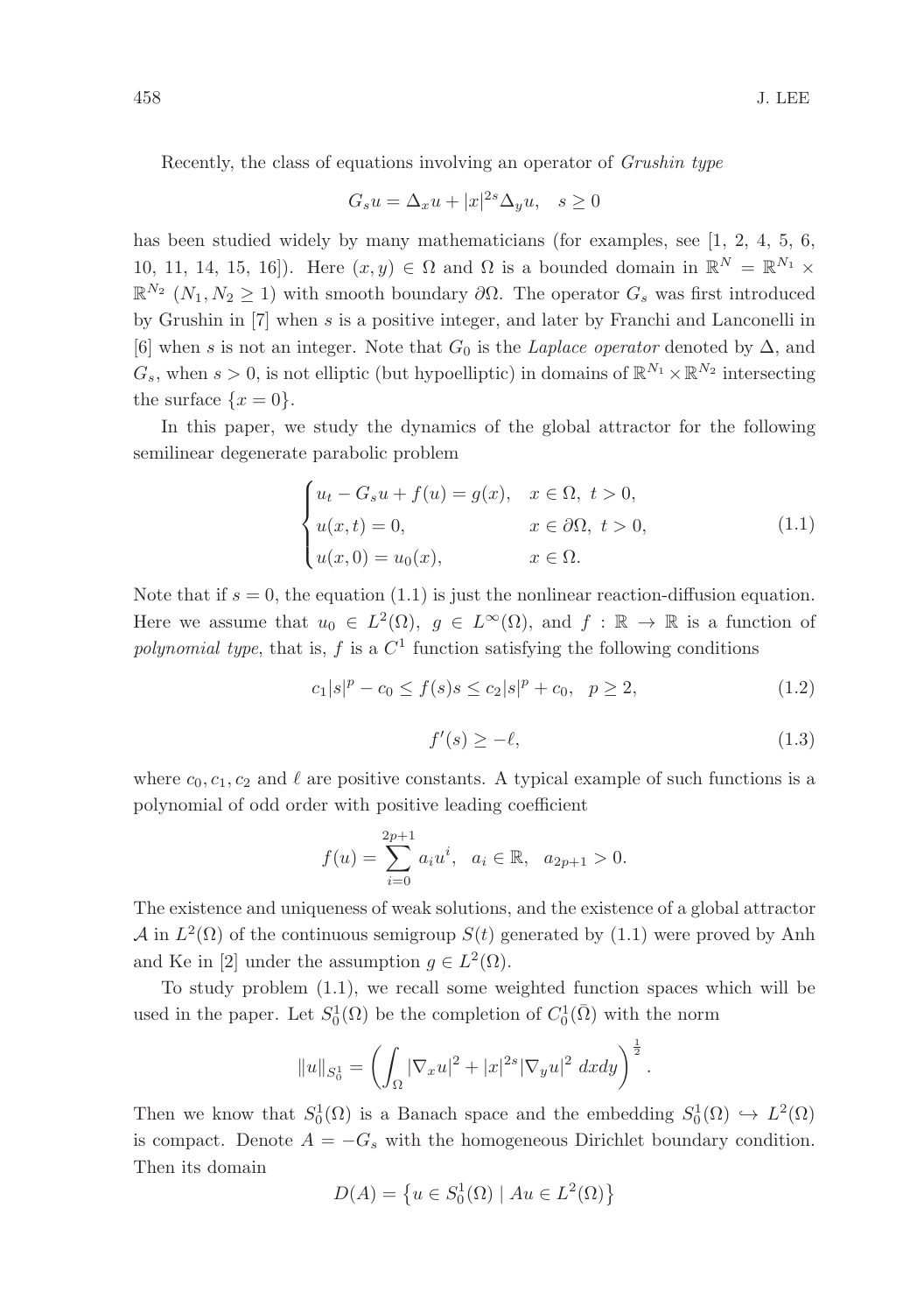Recently, the class of equations involving an operator of Grushin type

$$
G_s u = \Delta_x u + |x|^{2s} \Delta_y u, \quad s \ge 0
$$

has been studied widely by many mathematicians (for examples, see  $[1, 2, 4, 5, 6,$ 10, 11, 14, 15, 16]). Here  $(x, y) \in \Omega$  and  $\Omega$  is a bounded domain in  $\mathbb{R}^N = \mathbb{R}^{N_1} \times$  $\mathbb{R}^{N_2}$   $(N_1, N_2 \geq 1)$  with smooth boundary  $\partial\Omega$ . The operator  $G_s$  was first introduced by Grushin in [7] when s is a positive integer, and later by Franchi and Lanconelli in [6] when s is not an integer. Note that  $G_0$  is the *Laplace operator* denoted by  $\Delta$ , and  $G_s$ , when  $s > 0$ , is not elliptic (but hypoelliptic) in domains of  $\mathbb{R}^{N_1} \times \mathbb{R}^{N_2}$  intersecting the surface  $\{x=0\}.$ 

In this paper, we study the dynamics of the global attractor for the following semilinear degenerate parabolic problem

$$
\begin{cases}\n u_t - G_s u + f(u) = g(x), & x \in \Omega, \ t > 0, \\
 u(x, t) = 0, & x \in \partial\Omega, \ t > 0, \\
 u(x, 0) = u_0(x), & x \in \Omega.\n\end{cases}
$$
\n(1.1)

Note that if  $s = 0$ , the equation (1.1) is just the nonlinear reaction-diffusion equation. Here we assume that  $u_0 \in L^2(\Omega)$ ,  $g \in L^{\infty}(\Omega)$ , and  $f : \mathbb{R} \to \mathbb{R}$  is a function of polynomial type, that is,  $f$  is a  $C<sup>1</sup>$  function satisfying the following conditions

$$
c_1|s|^p - c_0 \le f(s)s \le c_2|s|^p + c_0, \quad p \ge 2,
$$
\n(1.2)

$$
f'(s) \ge -\ell,\tag{1.3}
$$

where  $c_0, c_1, c_2$  and  $\ell$  are positive constants. A typical example of such functions is a polynomial of odd order with positive leading coefficient

$$
f(u) = \sum_{i=0}^{2p+1} a_i u^i, \quad a_i \in \mathbb{R}, \quad a_{2p+1} > 0.
$$

The existence and uniqueness of weak solutions, and the existence of a global attractor  $\mathcal{A}$  in  $L^2(\Omega)$  of the continuous semigroup  $S(t)$  generated by (1.1) were proved by Anh and Ke in [2] under the assumption  $g \in L^2(\Omega)$ .

To study problem (1.1), we recall some weighted function spaces which will be used in the paper. Let  $S_0^1(\Omega)$  be the completion of  $C_0^1(\overline{\Omega})$  with the norm

$$
||u||_{S_0^1} = \left(\int_{\Omega} |\nabla_x u|^2 + |x|^{2s} |\nabla_y u|^2 \; dx dy\right)^{\frac{1}{2}}.
$$

Then we know that  $S_0^1(\Omega)$  is a Banach space and the embedding  $S_0^1(\Omega) \hookrightarrow L^2(\Omega)$ is compact. Denote  $A = -G_s$  with the homogeneous Dirichlet boundary condition. Then its domain

$$
D(A) = \left\{ u \in S_0^1(\Omega) \mid Au \in L^2(\Omega) \right\}
$$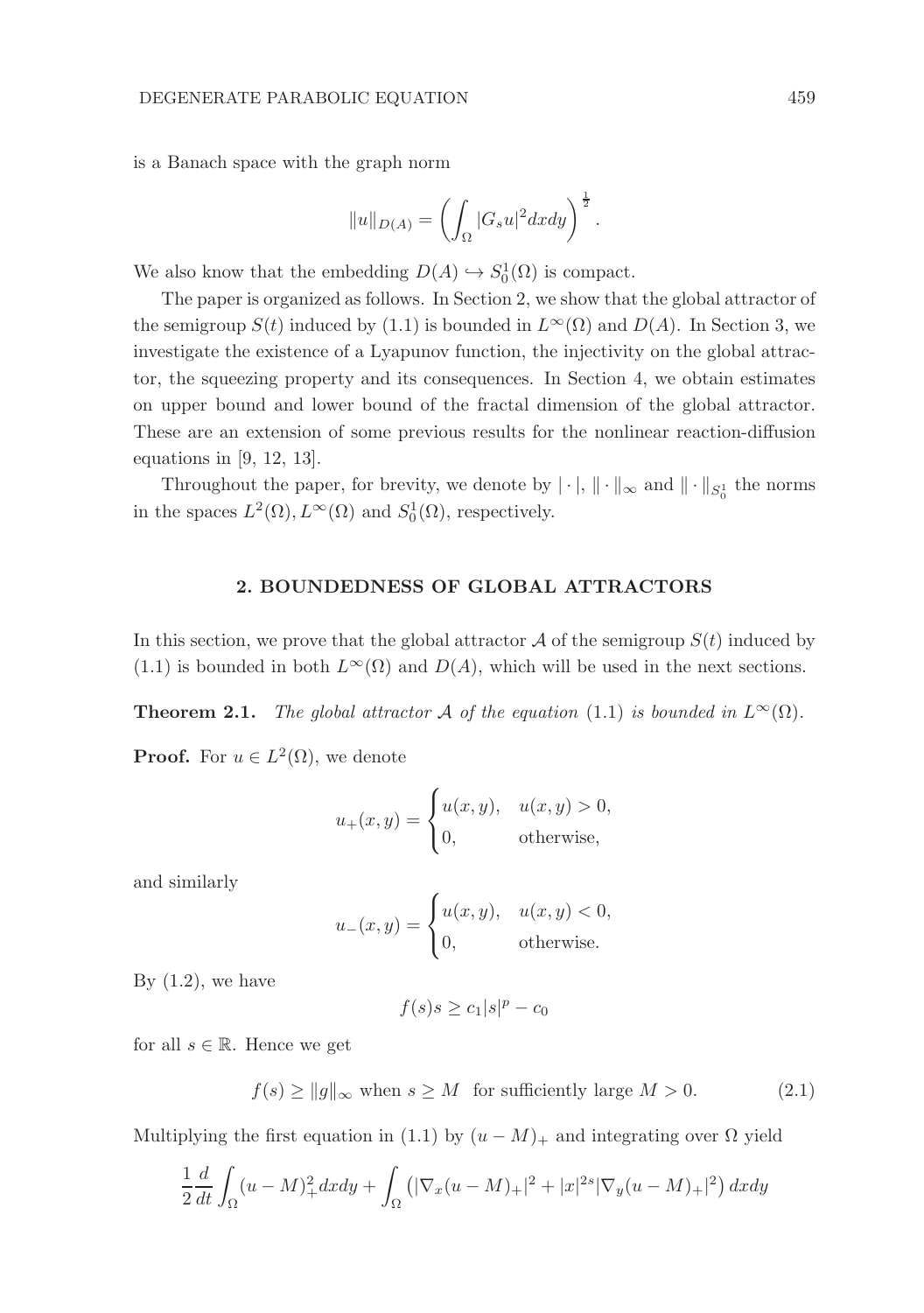is a Banach space with the graph norm

$$
||u||_{D(A)} = \left(\int_{\Omega} |G_s u|^2 dx dy\right)^{\frac{1}{2}}.
$$

We also know that the embedding  $D(A) \hookrightarrow S_0^1(\Omega)$  is compact.

The paper is organized as follows. In Section 2, we show that the global attractor of the semigroup  $S(t)$  induced by (1.1) is bounded in  $L^{\infty}(\Omega)$  and  $D(A)$ . In Section 3, we investigate the existence of a Lyapunov function, the injectivity on the global attractor, the squeezing property and its consequences. In Section 4, we obtain estimates on upper bound and lower bound of the fractal dimension of the global attractor. These are an extension of some previous results for the nonlinear reaction-diffusion equations in [9, 12, 13].

Throughout the paper, for brevity, we denote by  $|\cdot|$ ,  $\|\cdot\|_{\infty}$  and  $\|\cdot\|_{S^1_0}$  the norms in the spaces  $L^2(\Omega)$ ,  $L^{\infty}(\Omega)$  and  $S_0^1(\Omega)$ , respectively.

### 2. BOUNDEDNESS OF GLOBAL ATTRACTORS

In this section, we prove that the global attractor  $A$  of the semigroup  $S(t)$  induced by (1.1) is bounded in both  $L^{\infty}(\Omega)$  and  $D(A)$ , which will be used in the next sections.

**Theorem 2.1.** The global attractor A of the equation (1.1) is bounded in  $L^{\infty}(\Omega)$ .

**Proof.** For  $u \in L^2(\Omega)$ , we denote

$$
u_{+}(x,y) = \begin{cases} u(x,y), & u(x,y) > 0, \\ 0, & \text{otherwise,} \end{cases}
$$

and similarly

$$
u_{-}(x,y) = \begin{cases} u(x,y), & u(x,y) < 0, \\ 0, & \text{otherwise.} \end{cases}
$$

By  $(1.2)$ , we have

$$
f(s)s \geq c_1|s|^p - c_0
$$

for all  $s \in \mathbb{R}$ . Hence we get

$$
f(s) \ge ||g||_{\infty} \text{ when } s \ge M \text{ for sufficiently large } M > 0. \tag{2.1}
$$

Multiplying the first equation in (1.1) by  $(u - M)_{+}$  and integrating over  $\Omega$  yield

$$
\frac{1}{2}\frac{d}{dt}\int_{\Omega}(u-M)^2 + dxdy + \int_{\Omega}(|\nabla_x(u-M)_{+}|^2 + |x|^{2s}|\nabla_y(u-M)_{+}|^2) dxdy
$$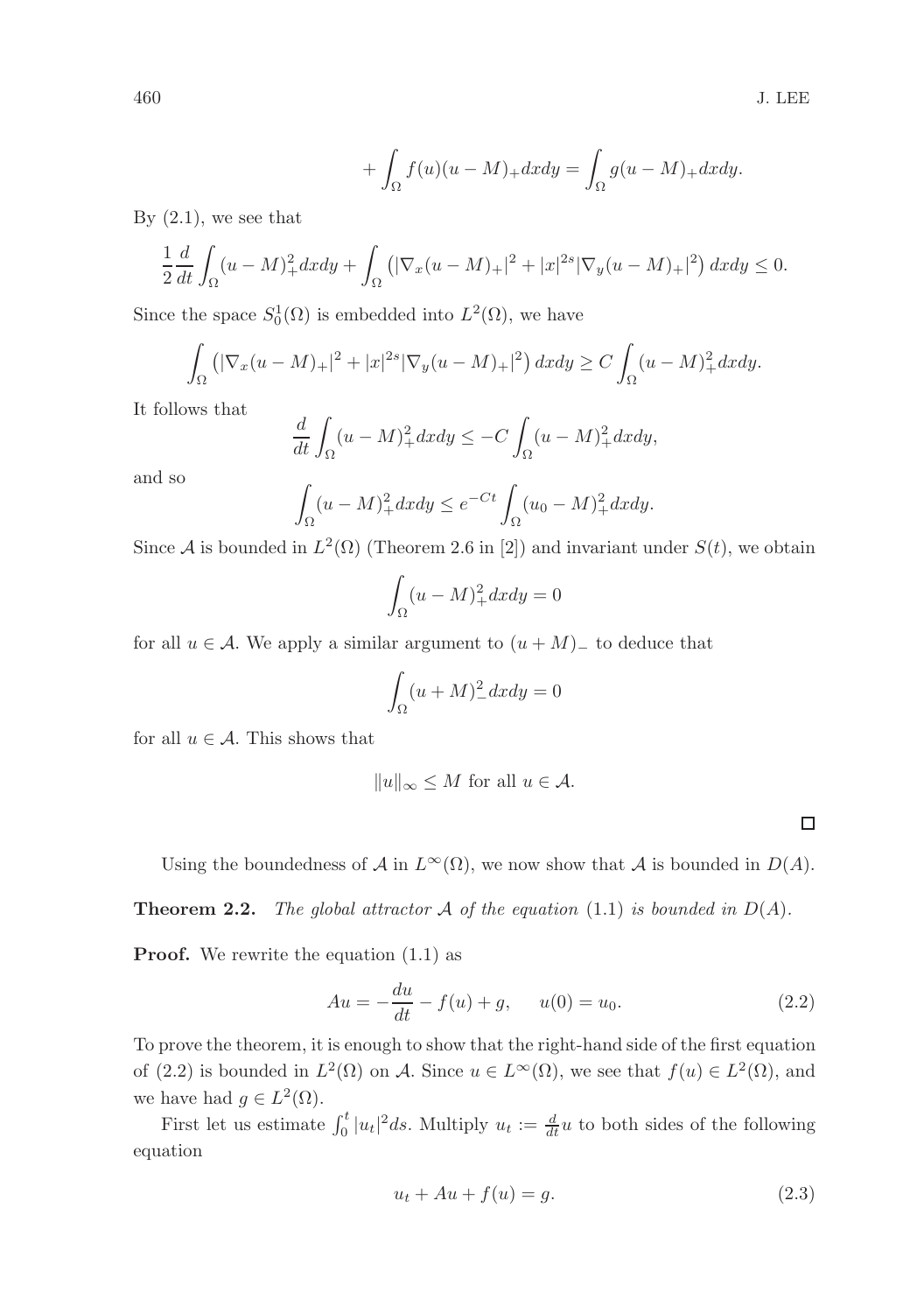$$
+ \int_{\Omega} f(u)(u - M)_{+} dx dy = \int_{\Omega} g(u - M)_{+} dx dy.
$$

By  $(2.1)$ , we see that

$$
\frac{1}{2}\frac{d}{dt}\int_{\Omega}(u-M)_{+}^{2}dxdy+\int_{\Omega}\left(|\nabla_{x}(u-M)_{+}|^{2}+|x|^{2s}|\nabla_{y}(u-M)_{+}|^{2}\right)dxdy\leq0.
$$

Since the space  $S_0^1(\Omega)$  is embedded into  $L^2(\Omega)$ , we have

$$
\int_{\Omega} \left( |\nabla_x (u - M)_+|^2 + |x|^{2s} |\nabla_y (u - M)_+|^2 \right) dx dy \ge C \int_{\Omega} (u - M)_+^2 dx dy.
$$

It follows that

$$
\frac{d}{dt} \int_{\Omega} (u - M)_+^2 dx dy \le -C \int_{\Omega} (u - M)_+^2 dx dy,
$$

and so

$$
\int_{\Omega} (u - M)_+^2 dx dy \le e^{-Ct} \int_{\Omega} (u_0 - M)_+^2 dx dy.
$$

Since A is bounded in  $L^2(\Omega)$  (Theorem 2.6 in [2]) and invariant under  $S(t)$ , we obtain

$$
\int_{\Omega} (u - M)_+^2 dx dy = 0
$$

for all  $u \in A$ . We apply a similar argument to  $(u + M)$ <sub>—</sub> to deduce that

$$
\int_{\Omega} (u + M)^2 \, dx dy = 0
$$

for all  $u \in \mathcal{A}$ . This shows that

$$
||u||_{\infty} \le M \text{ for all } u \in \mathcal{A}.
$$

 $\Box$ 

Using the boundedness of A in  $L^{\infty}(\Omega)$ , we now show that A is bounded in  $D(A)$ .

**Theorem 2.2.** The global attractor A of the equation (1.1) is bounded in  $D(A)$ .

**Proof.** We rewrite the equation  $(1.1)$  as

$$
Au = -\frac{du}{dt} - f(u) + g, \quad u(0) = u_0.
$$
 (2.2)

To prove the theorem, it is enough to show that the right-hand side of the first equation of (2.2) is bounded in  $L^2(\Omega)$  on A. Since  $u \in L^{\infty}(\Omega)$ , we see that  $f(u) \in L^2(\Omega)$ , and we have had  $g \in L^2(\Omega)$ .

First let us estimate  $\int_0^t |u_t|^2 ds$ . Multiply  $u_t := \frac{d}{dt}u$  to both sides of the following equation

$$
u_t + Au + f(u) = g.
$$
\n
$$
(2.3)
$$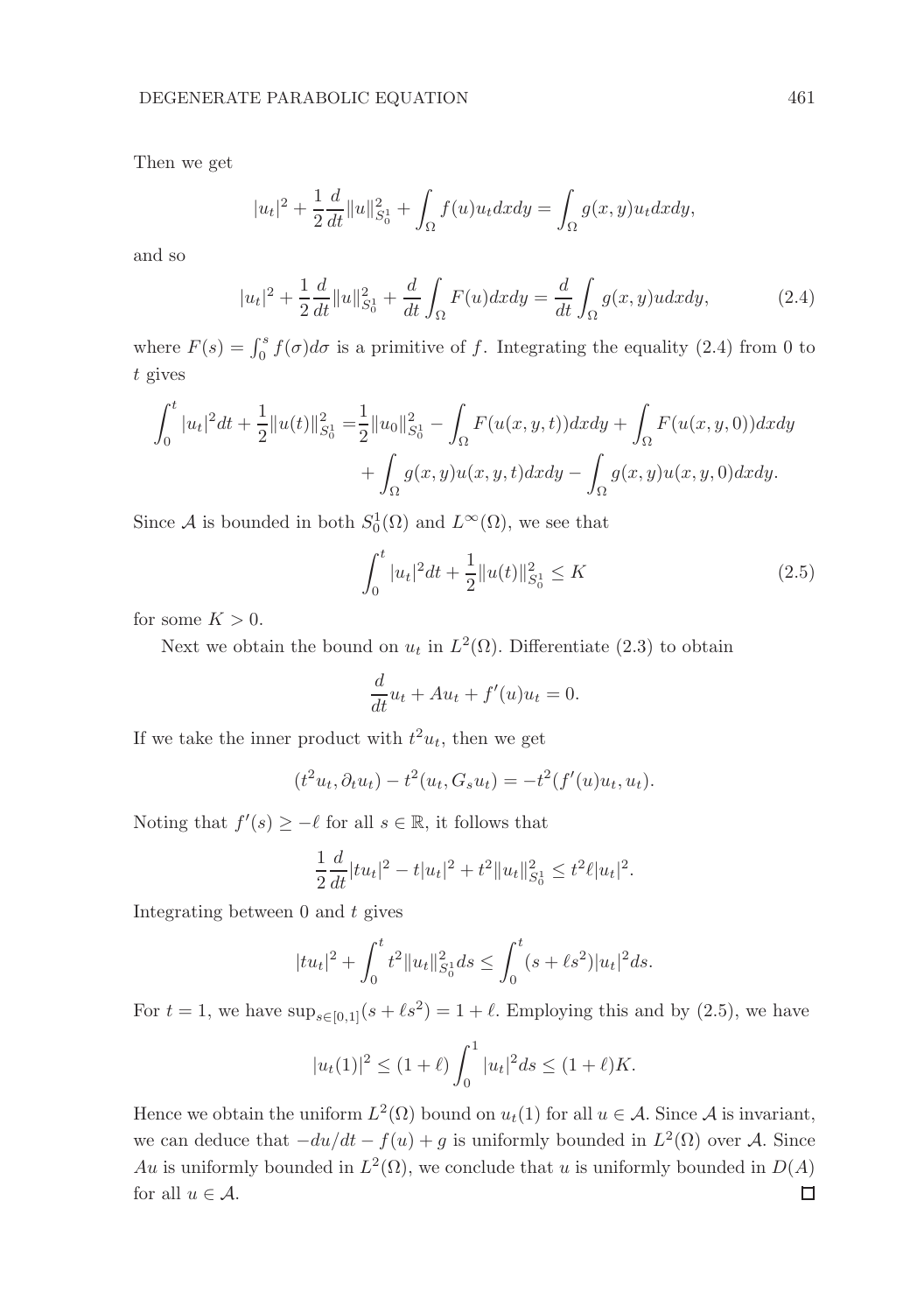Then we get

$$
|u_t|^2 + \frac{1}{2}\frac{d}{dt}||u||_{S_0^1}^2 + \int_{\Omega} f(u)u_t dx dy = \int_{\Omega} g(x, y)u_t dx dy,
$$

and so

$$
|u_t|^2 + \frac{1}{2}\frac{d}{dt}\|u\|_{S_0^1}^2 + \frac{d}{dt}\int_{\Omega} F(u)dxdy = \frac{d}{dt}\int_{\Omega} g(x,y)udxdy,
$$
 (2.4)

where  $F(s) = \int_0^s f(\sigma) d\sigma$  is a primitive of f. Integrating the equality (2.4) from 0 to t gives

$$
\int_0^t |u_t|^2 dt + \frac{1}{2} ||u(t)||_{S_0^1}^2 = \frac{1}{2} ||u_0||_{S_0^1}^2 - \int_{\Omega} F(u(x, y, t)) dx dy + \int_{\Omega} F(u(x, y, 0)) dx dy
$$

$$
+ \int_{\Omega} g(x, y) u(x, y, t) dx dy - \int_{\Omega} g(x, y) u(x, y, 0) dx dy.
$$

Since A is bounded in both  $S_0^1(\Omega)$  and  $L^{\infty}(\Omega)$ , we see that

$$
\int_0^t |u_t|^2 dt + \frac{1}{2} ||u(t)||_{S_0^1}^2 \le K \tag{2.5}
$$

for some  $K > 0$ .

Next we obtain the bound on  $u_t$  in  $L^2(\Omega)$ . Differentiate (2.3) to obtain

$$
\frac{d}{dt}u_t + Au_t + f'(u)u_t = 0.
$$

If we take the inner product with  $t^2u_t$ , then we get

$$
(t2ut, \partial_t ut) - t2(ut, Gsut) = -t2(f'(u)ut, ut).
$$

Noting that  $f'(s) \geq -\ell$  for all  $s \in \mathbb{R}$ , it follows that

$$
\frac{1}{2}\frac{d}{dt}|tu_t|^2 - t|u_t|^2 + t^2||u_t||_{S_0^1}^2 \le t^2\ell|u_t|^2.
$$

Integrating between  $\theta$  and  $t$  gives

$$
|tu_t|^2 + \int_0^t t^2 \|u_t\|_{S_0^1}^2 ds \le \int_0^t (s + \ell s^2) |u_t|^2 ds.
$$

For  $t = 1$ , we have  $\sup_{s \in [0,1]} (s + \ell s^2) = 1 + \ell$ . Employing this and by (2.5), we have

$$
|u_t(1)|^2 \le (1+\ell) \int_0^1 |u_t|^2 ds \le (1+\ell)K.
$$

Hence we obtain the uniform  $L^2(\Omega)$  bound on  $u_t(1)$  for all  $u \in \mathcal{A}$ . Since  $\mathcal{A}$  is invariant, we can deduce that  $-du/dt - f(u) + g$  is uniformly bounded in  $L^2(\Omega)$  over A. Since Au is uniformly bounded in  $L^2(\Omega)$ , we conclude that u is uniformly bounded in  $D(A)$ for all  $u \in \mathcal{A}$ . □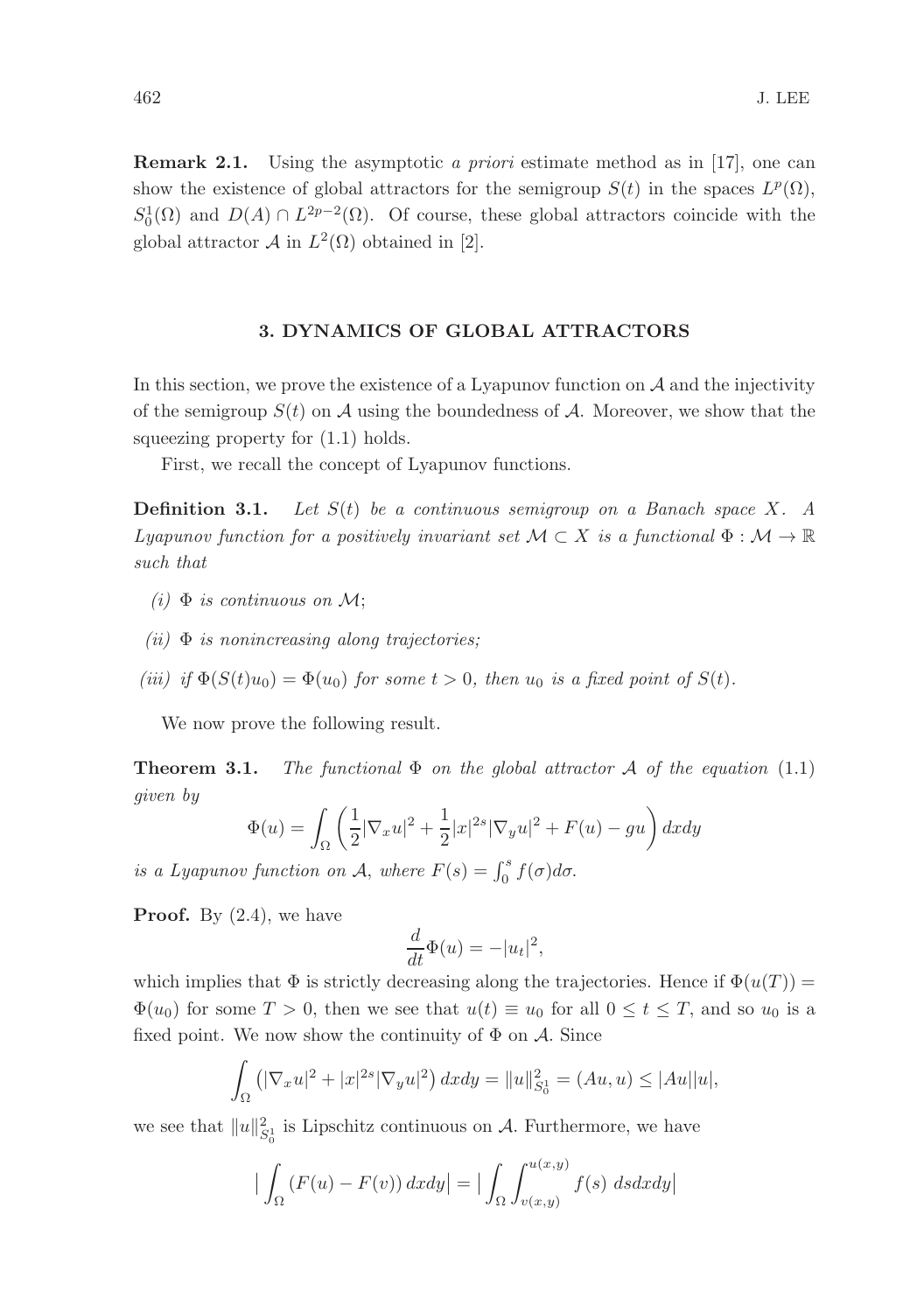Remark 2.1. Using the asymptotic a priori estimate method as in [17], one can show the existence of global attractors for the semigroup  $S(t)$  in the spaces  $L^p(\Omega)$ ,  $S_0^1(\Omega)$  and  $D(A) \cap L^{2p-2}(\Omega)$ . Of course, these global attractors coincide with the global attractor  $\mathcal A$  in  $L^2(\Omega)$  obtained in [2].

# 3. DYNAMICS OF GLOBAL ATTRACTORS

In this section, we prove the existence of a Lyapunov function on  $A$  and the injectivity of the semigroup  $S(t)$  on A using the boundedness of A. Moreover, we show that the squeezing property for  $(1.1)$  holds.

First, we recall the concept of Lyapunov functions.

**Definition 3.1.** Let  $S(t)$  be a continuous semigroup on a Banach space X. A Lyapunov function for a positively invariant set  $M \subset X$  is a functional  $\Phi : M \to \mathbb{R}$ such that

- (i)  $\Phi$  is continuous on M;
- (ii)  $\Phi$  is nonincreasing along trajectories;
- (iii) if  $\Phi(S(t)u_0) = \Phi(u_0)$  for some  $t > 0$ , then  $u_0$  is a fixed point of  $S(t)$ .

We now prove the following result.

**Theorem 3.1.** The functional  $\Phi$  on the global attractor A of the equation (1.1) given by

$$
\Phi(u) = \int_{\Omega} \left( \frac{1}{2} |\nabla_x u|^2 + \frac{1}{2} |x|^{2s} |\nabla_y u|^2 + F(u) - gu \right) dx dy
$$

is a Lyapunov function on A, where  $F(s) = \int_0^s f(\sigma) d\sigma$ .

**Proof.** By  $(2.4)$ , we have

$$
\frac{d}{dt}\Phi(u) = -|u_t|^2,
$$

which implies that  $\Phi$  is strictly decreasing along the trajectories. Hence if  $\Phi(u(T))$  =  $\Phi(u_0)$  for some  $T > 0$ , then we see that  $u(t) \equiv u_0$  for all  $0 \le t \le T$ , and so  $u_0$  is a fixed point. We now show the continuity of  $\Phi$  on  $\mathcal{A}$ . Since

$$
\int_{\Omega} \left( |\nabla_x u|^2 + |x|^{2s} |\nabla_y u|^2 \right) dx dy = ||u||_{S_0^1}^2 = (Au, u) \le |Au||u|,
$$

we see that  $||u||_{S_0^1}^2$  is Lipschitz continuous on A. Furthermore, we have

$$
\left| \int_{\Omega} \left( F(u) - F(v) \right) dx dy \right| = \left| \int_{\Omega} \int_{v(x,y)}^{u(x,y)} f(s) ds dx dy \right|
$$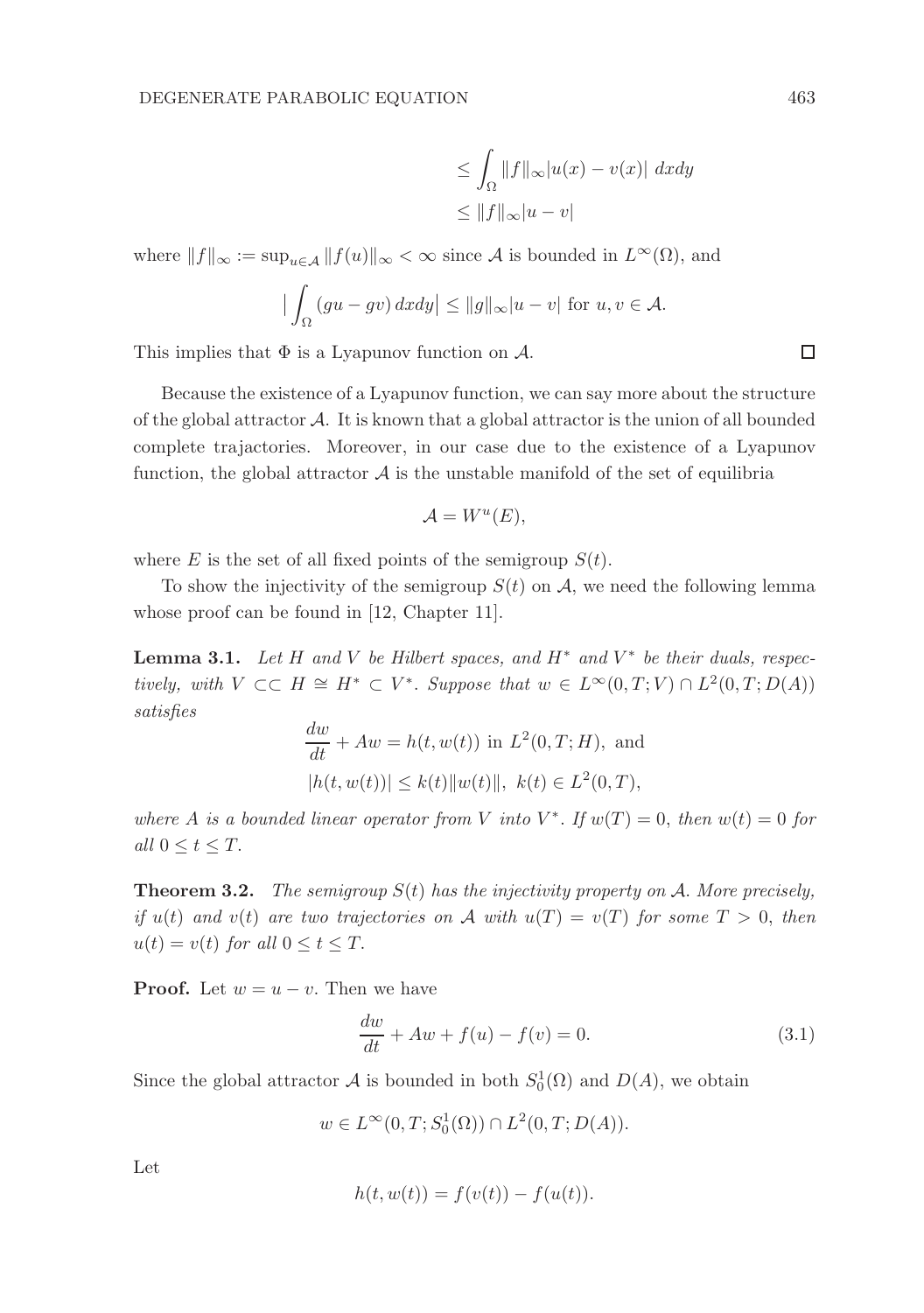$$
\leq \int_{\Omega} ||f||_{\infty} |u(x) - v(x)| \ dx dy
$$
  

$$
\leq ||f||_{\infty} |u - v|
$$

where  $||f||_{\infty} := \sup_{u \in \mathcal{A}} ||f(u)||_{\infty} < \infty$  since A is bounded in  $L^{\infty}(\Omega)$ , and

$$
\left| \int_{\Omega} (gu - gv) \, dx \, dy \right| \le ||g||_{\infty} |u - v| \text{ for } u, v \in \mathcal{A}.
$$

This implies that  $\Phi$  is a Lyapunov function on  $\mathcal{A}$ .

Because the existence of a Lyapunov function, we can say more about the structure of the global attractor A. It is known that a global attractor is the union of all bounded complete trajactories. Moreover, in our case due to the existence of a Lyapunov function, the global attractor  $A$  is the unstable manifold of the set of equilibria

$$
\mathcal{A}=W^u(E),
$$

where E is the set of all fixed points of the semigroup  $S(t)$ .

To show the injectivity of the semigroup  $S(t)$  on A, we need the following lemma whose proof can be found in [12, Chapter 11].

**Lemma 3.1.** Let H and V be Hilbert spaces, and  $H^*$  and  $V^*$  be their duals, respectively, with  $V \subset\subset H \cong H^* \subset V^*$ . Suppose that  $w \in L^{\infty}(0,T;V) \cap L^2(0,T;D(A))$ satisfies

$$
\frac{dw}{dt} + Aw = h(t, w(t)) \text{ in } L^2(0, T; H), \text{ and}
$$
  

$$
|h(t, w(t))| \le k(t) ||w(t)||, k(t) \in L^2(0, T),
$$

where A is a bounded linear operator from V into  $V^*$ . If  $w(T) = 0$ , then  $w(t) = 0$  for all  $0 \leq t \leq T$ .

**Theorem 3.2.** The semigroup  $S(t)$  has the injectivity property on A. More precisely, if  $u(t)$  and  $v(t)$  are two trajectories on A with  $u(T) = v(T)$  for some  $T > 0$ , then  $u(t) = v(t)$  for all  $0 \le t \le T$ .

**Proof.** Let  $w = u - v$ . Then we have

$$
\frac{dw}{dt} + Aw + f(u) - f(v) = 0.
$$
\n(3.1)

Since the global attractor  $\mathcal A$  is bounded in both  $S_0^1(\Omega)$  and  $D(A)$ , we obtain

 $w \in L^{\infty}(0,T; S_0^1(\Omega)) \cap L^2(0,T;D(A)).$ 

Let

$$
h(t, w(t)) = f(v(t)) - f(u(t)).
$$

□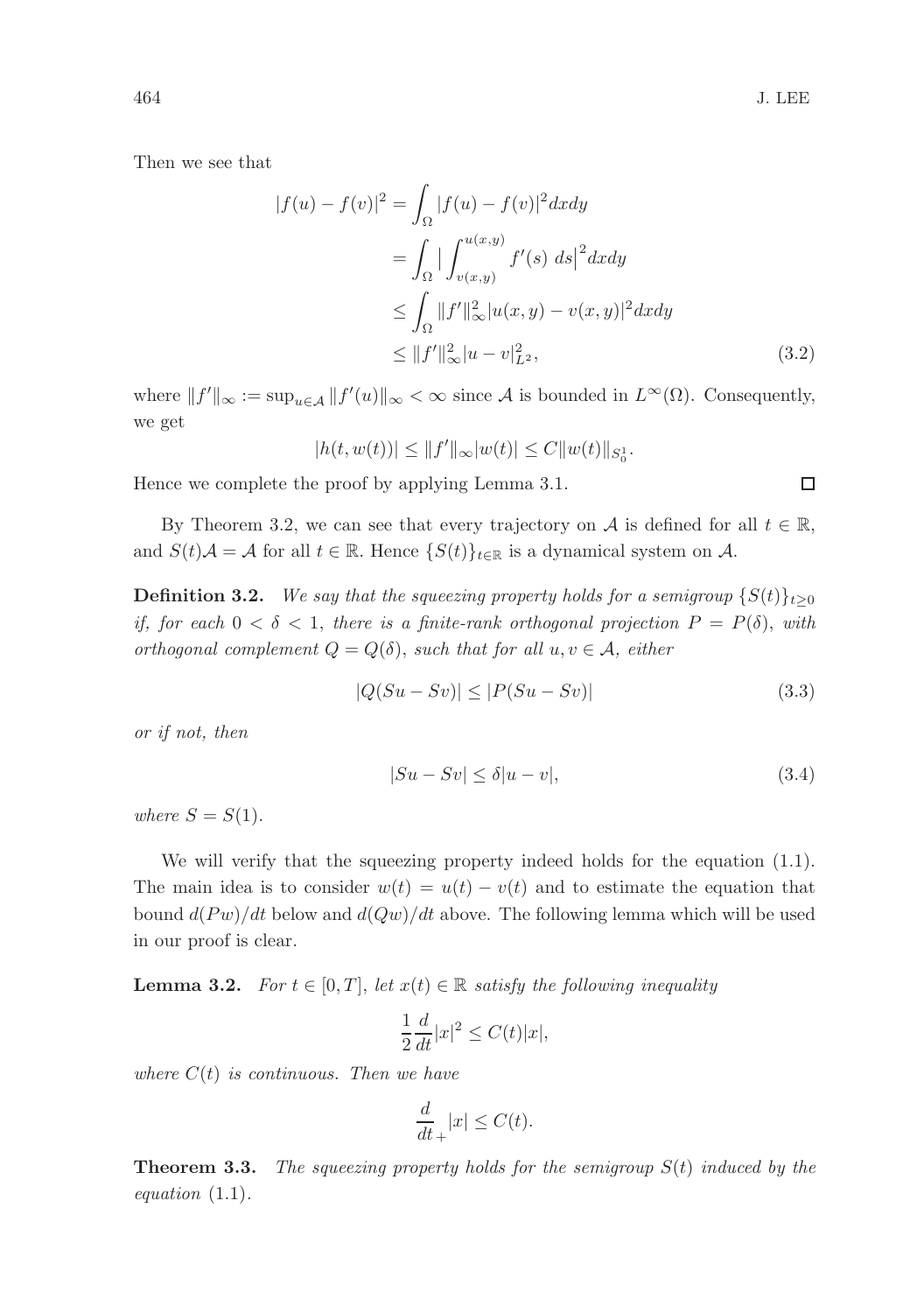$\Box$ 

Then we see that

$$
|f(u) - f(v)|^2 = \int_{\Omega} |f(u) - f(v)|^2 dx dy
$$
  
= 
$$
\int_{\Omega} |\int_{v(x,y)}^{u(x,y)} f'(s) ds|^2 dx dy
$$
  

$$
\leq \int_{\Omega} ||f'||_{\infty}^2 |u(x,y) - v(x,y)|^2 dx dy
$$
  

$$
\leq ||f'||_{\infty}^2 |u - v|_{L^2}^2,
$$
 (3.2)

where  $||f'||_{\infty} := \sup_{u \in \mathcal{A}} ||f'(u)||_{\infty} < \infty$  since A is bounded in  $L^{\infty}(\Omega)$ . Consequently, we get

$$
|h(t, w(t))| \le ||f'||_{\infty}|w(t)| \le C||w(t)||_{S^1_0}.
$$

Hence we complete the proof by applying Lemma 3.1.

By Theorem 3.2, we can see that every trajectory on A is defined for all  $t \in \mathbb{R}$ , and  $S(t)A = A$  for all  $t \in \mathbb{R}$ . Hence  $\{S(t)\}_{t \in \mathbb{R}}$  is a dynamical system on A.

**Definition 3.2.** We say that the squeezing property holds for a semigroup  $\{S(t)\}_{t\geq0}$ if, for each  $0 < \delta < 1$ , there is a finite-rank orthogonal projection  $P = P(\delta)$ , with orthogonal complement  $Q = Q(\delta)$ , such that for all  $u, v \in A$ , either

$$
|Q(Su - Sv)| \le |P(Su - Sv)| \tag{3.3}
$$

or if not, then

$$
|Su - Sv| \le \delta |u - v|,\tag{3.4}
$$

where  $S = S(1)$ .

We will verify that the squeezing property indeed holds for the equation  $(1.1)$ . The main idea is to consider  $w(t) = u(t) - v(t)$  and to estimate the equation that bound  $d(Pw)/dt$  below and  $d(Qw)/dt$  above. The following lemma which will be used in our proof is clear.

**Lemma 3.2.** For  $t \in [0, T]$ , let  $x(t) \in \mathbb{R}$  satisfy the following inequality

$$
\frac{1}{2}\frac{d}{dt}|x|^2 \le C(t)|x|,
$$

where  $C(t)$  is continuous. Then we have

$$
\frac{d}{dt}_{+}|x| \leq C(t).
$$

**Theorem 3.3.** The squeezing property holds for the semigroup  $S(t)$  induced by the equation (1.1).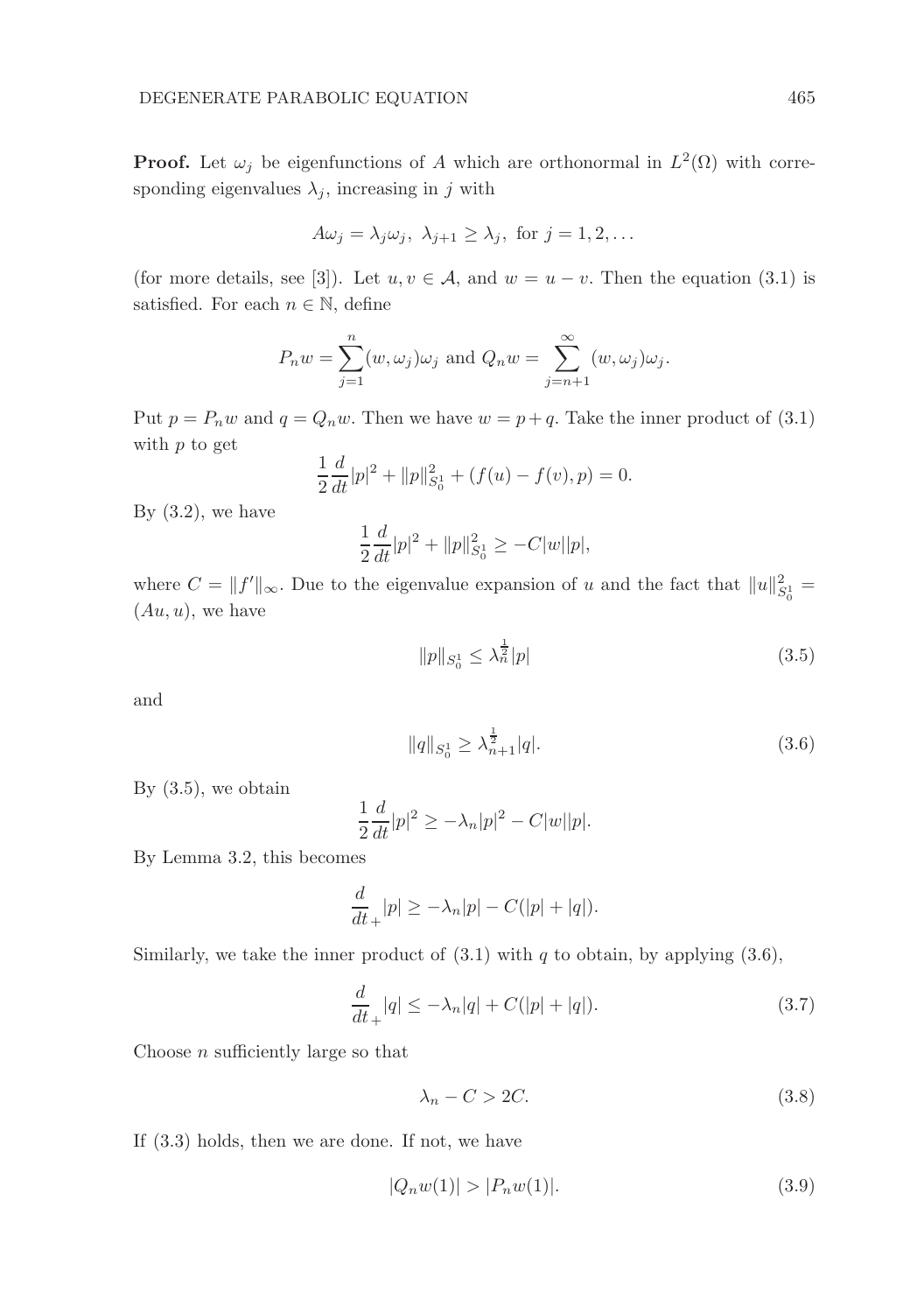**Proof.** Let  $\omega_j$  be eigenfunctions of A which are orthonormal in  $L^2(\Omega)$  with corresponding eigenvalues  $\lambda_i$ , increasing in j with

$$
A\omega_j = \lambda_j \omega_j, \ \lambda_{j+1} \ge \lambda_j, \text{ for } j = 1, 2, \dots
$$

(for more details, see [3]). Let  $u, v \in A$ , and  $w = u - v$ . Then the equation (3.1) is satisfied. For each  $n \in \mathbb{N}$ , define

$$
P_n w = \sum_{j=1}^n (w, \omega_j) \omega_j
$$
 and  $Q_n w = \sum_{j=n+1}^\infty (w, \omega_j) \omega_j$ .

Put  $p = P_n w$  and  $q = Q_n w$ . Then we have  $w = p + q$ . Take the inner product of (3.1) with  $p$  to get

$$
\frac{1}{2}\frac{d}{dt}|p|^2 + ||p||_{S_0^1}^2 + (f(u) - f(v), p) = 0.
$$

By  $(3.2)$ , we have

$$
\frac{1}{2}\frac{d}{dt}|p|^2 + ||p||_{S_0^1}^2 \ge -C|w||p|,
$$

where  $C = ||f'||_{\infty}$ . Due to the eigenvalue expansion of u and the fact that  $||u||_{S_0^1}^2 =$  $(Au, u)$ , we have

$$
||p||_{S_0^1} \le \lambda_n^{\frac{1}{2}} |p| \tag{3.5}
$$

and

$$
||q||_{S_0^1} \ge \lambda_{n+1}^{\frac{1}{2}}|q|.\tag{3.6}
$$

By  $(3.5)$ , we obtain

$$
\frac{1}{2}\frac{d}{dt}|p|^2 \ge -\lambda_n|p|^2 - C|w||p|.
$$

By Lemma 3.2, this becomes

$$
\frac{d}{dt}_{+}|p| \geq -\lambda_n|p| - C(|p| + |q|).
$$

Similarly, we take the inner product of  $(3.1)$  with q to obtain, by applying  $(3.6)$ ,

$$
\frac{d}{dt}_{+}|q| \le -\lambda_{n}|q| + C(|p| + |q|). \tag{3.7}
$$

Choose  $n$  sufficiently large so that

$$
\lambda_n - C > 2C. \tag{3.8}
$$

If (3.3) holds, then we are done. If not, we have

$$
|Q_n w(1)| > |P_n w(1)|.\t\t(3.9)
$$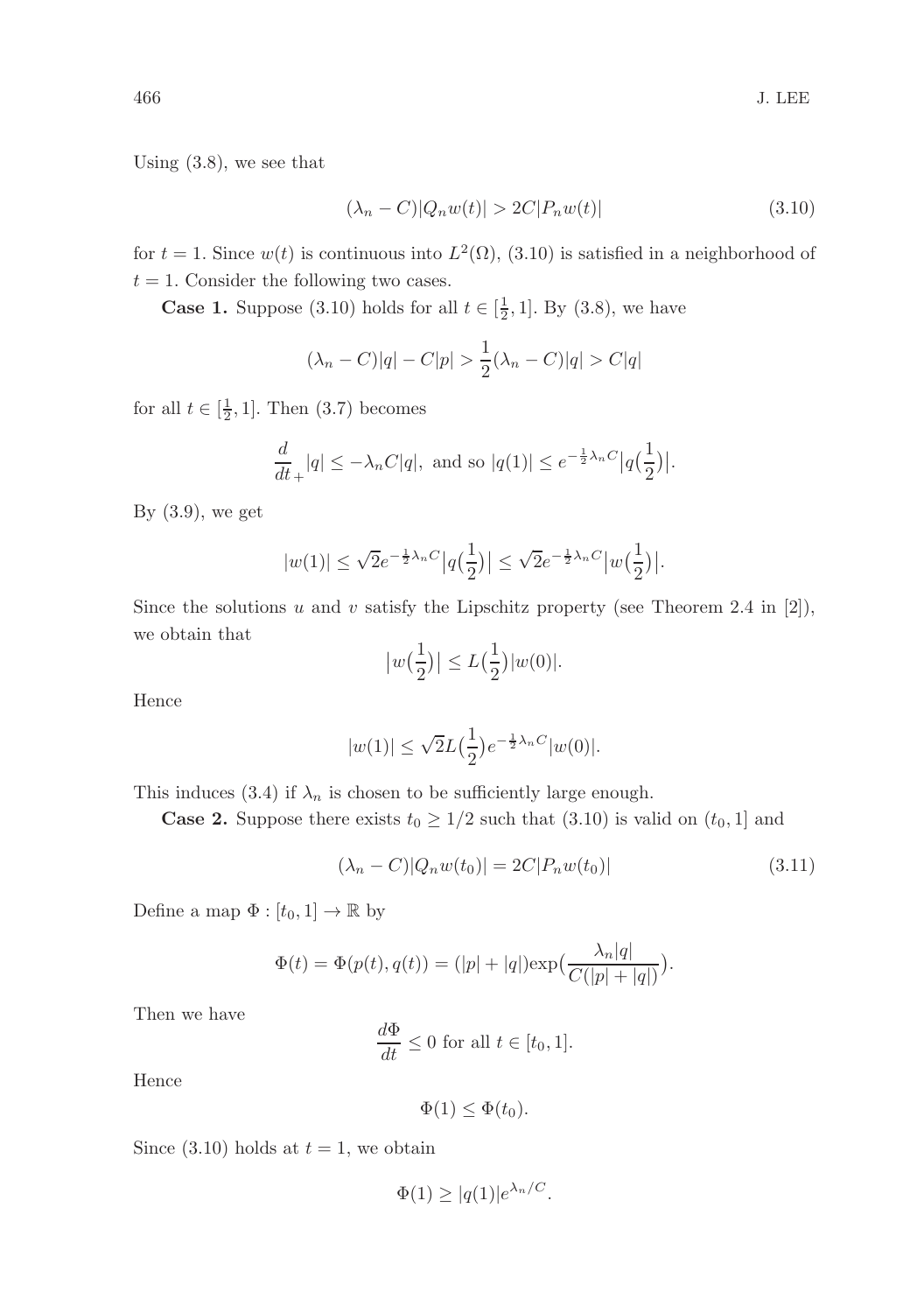Using (3.8), we see that

$$
(\lambda_n - C)|Q_n w(t)| > 2C|P_n w(t)|\tag{3.10}
$$

for  $t = 1$ . Since  $w(t)$  is continuous into  $L^2(\Omega)$ ,  $(3.10)$  is satisfied in a neighborhood of  $t = 1$ . Consider the following two cases.

**Case 1.** Suppose (3.10) holds for all  $t \in [\frac{1}{2}, 1]$ . By (3.8), we have

$$
(\lambda_n - C)|q| - C|p| > \frac{1}{2}(\lambda_n - C)|q| > C|q|
$$

for all  $t \in [\frac{1}{2}, 1]$ . Then  $(3.7)$  becomes

$$
\frac{d}{dt}_{+}|q| \leq -\lambda_{n}C|q|, \text{ and so } |q(1)| \leq e^{-\frac{1}{2}\lambda_{n}C}|q(\frac{1}{2})|.
$$

By  $(3.9)$ , we get

$$
|w(1)| \leq \sqrt 2 e^{-\frac12 \lambda_n C} \big|q\big(\frac12\big)\big| \leq \sqrt 2 e^{-\frac12 \lambda_n C} \big|w\big(\frac12\big)\big|.
$$

Since the solutions u and v satisfy the Lipschitz property (see Theorem 2.4 in [2]), we obtain that

$$
|w(\frac{1}{2})| \le L(\frac{1}{2})|w(0)|.
$$

Hence

$$
|w(1)| \le \sqrt{2}L(\frac{1}{2})e^{-\frac{1}{2}\lambda_n C}|w(0)|.
$$

This induces (3.4) if  $\lambda_n$  is chosen to be sufficiently large enough.

**Case 2.** Suppose there exists  $t_0 \geq 1/2$  such that  $(3.10)$  is valid on  $(t_0, 1]$  and

$$
(\lambda_n - C)|Q_n w(t_0)| = 2C|P_n w(t_0)| \tag{3.11}
$$

Define a map  $\Phi : [t_0, 1] \to \mathbb{R}$  by

$$
\Phi(t) = \Phi(p(t), q(t)) = (|p| + |q|) \exp(\frac{\lambda_n |q|}{C(|p| + |q|)}).
$$

Then we have

$$
\frac{d\Phi}{dt} \le 0 \text{ for all } t \in [t_0, 1].
$$

Hence

$$
\Phi(1) \leq \Phi(t_0).
$$

Since (3.10) holds at  $t = 1$ , we obtain

$$
\Phi(1) \ge |q(1)|e^{\lambda_n/C}.
$$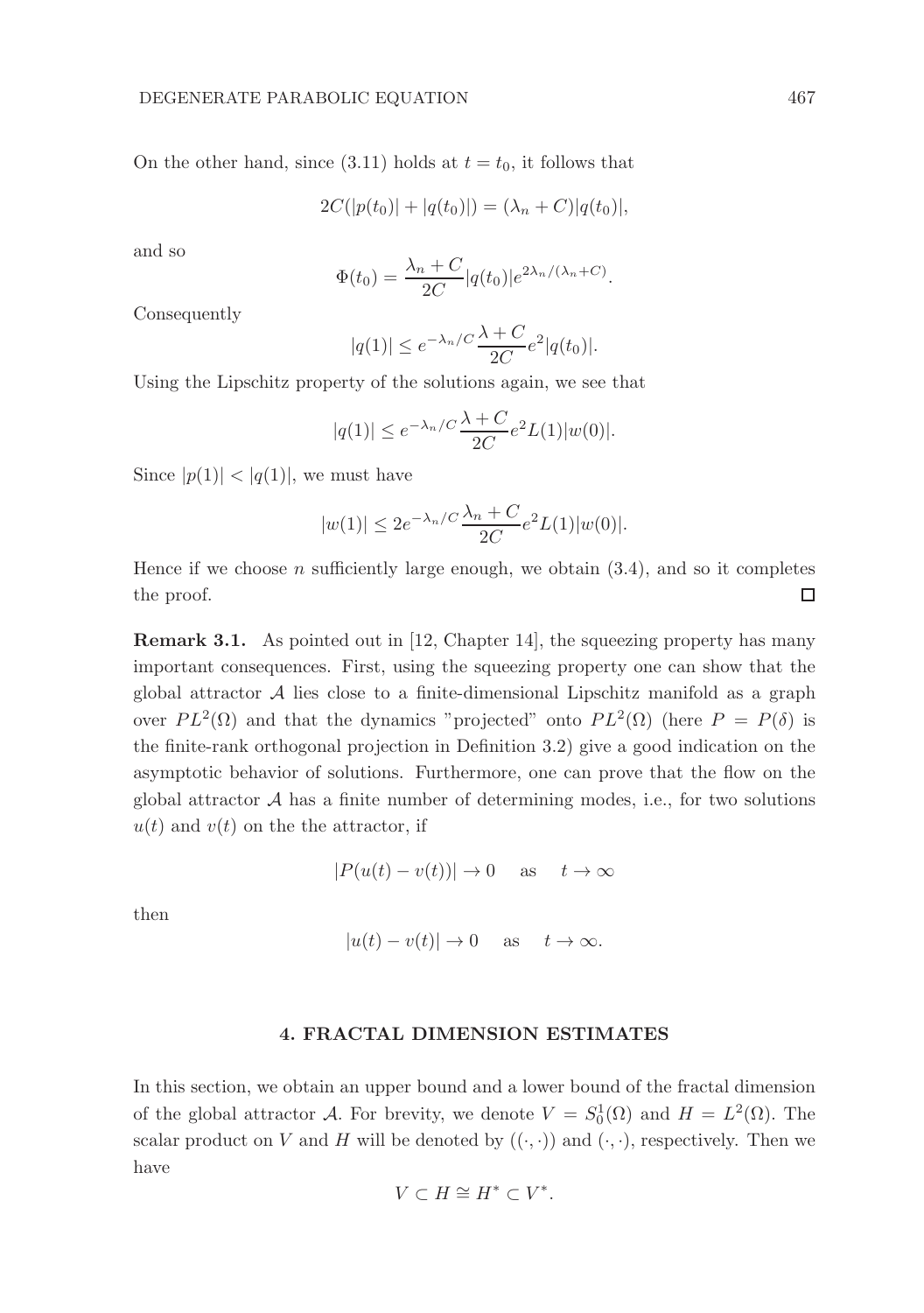On the other hand, since (3.11) holds at  $t = t_0$ , it follows that

$$
2C(|p(t_0)| + |q(t_0)|) = (\lambda_n + C)|q(t_0)|,
$$

and so

$$
\Phi(t_0) = \frac{\lambda_n + C}{2C} |q(t_0)| e^{2\lambda_n/(\lambda_n + C)}.
$$

Consequently

$$
|q(1)| \le e^{-\lambda_n/C} \frac{\lambda + C}{2C} e^2 |q(t_0)|.
$$

Using the Lipschitz property of the solutions again, we see that

$$
|q(1)| \le e^{-\lambda_n/C} \frac{\lambda + C}{2C} e^2 L(1) |w(0)|.
$$

Since  $|p(1)| < |q(1)|$ , we must have

$$
|w(1)| \le 2e^{-\lambda_n/C} \frac{\lambda_n + C}{2C} e^2 L(1) |w(0)|.
$$

Hence if we choose n sufficiently large enough, we obtain  $(3.4)$ , and so it completes the proof. □

Remark 3.1. As pointed out in [12, Chapter 14], the squeezing property has many important consequences. First, using the squeezing property one can show that the global attractor  $A$  lies close to a finite-dimensional Lipschitz manifold as a graph over  $PL^2(\Omega)$  and that the dynamics "projected" onto  $PL^2(\Omega)$  (here  $P = P(\delta)$  is the finite-rank orthogonal projection in Definition 3.2) give a good indication on the asymptotic behavior of solutions. Furthermore, one can prove that the flow on the global attractor  $A$  has a finite number of determining modes, i.e., for two solutions  $u(t)$  and  $v(t)$  on the the attractor, if

$$
|P(u(t) - v(t))| \to 0 \quad \text{as} \quad t \to \infty
$$

then

$$
|u(t) - v(t)| \to 0 \quad \text{as} \quad t \to \infty.
$$

### 4. FRACTAL DIMENSION ESTIMATES

In this section, we obtain an upper bound and a lower bound of the fractal dimension of the global attractor A. For brevity, we denote  $V = S_0^1(\Omega)$  and  $H = L^2(\Omega)$ . The scalar product on V and H will be denoted by  $((\cdot, \cdot))$  and  $(\cdot, \cdot)$ , respectively. Then we have

$$
V\subset H\cong H^*\subset V^*.
$$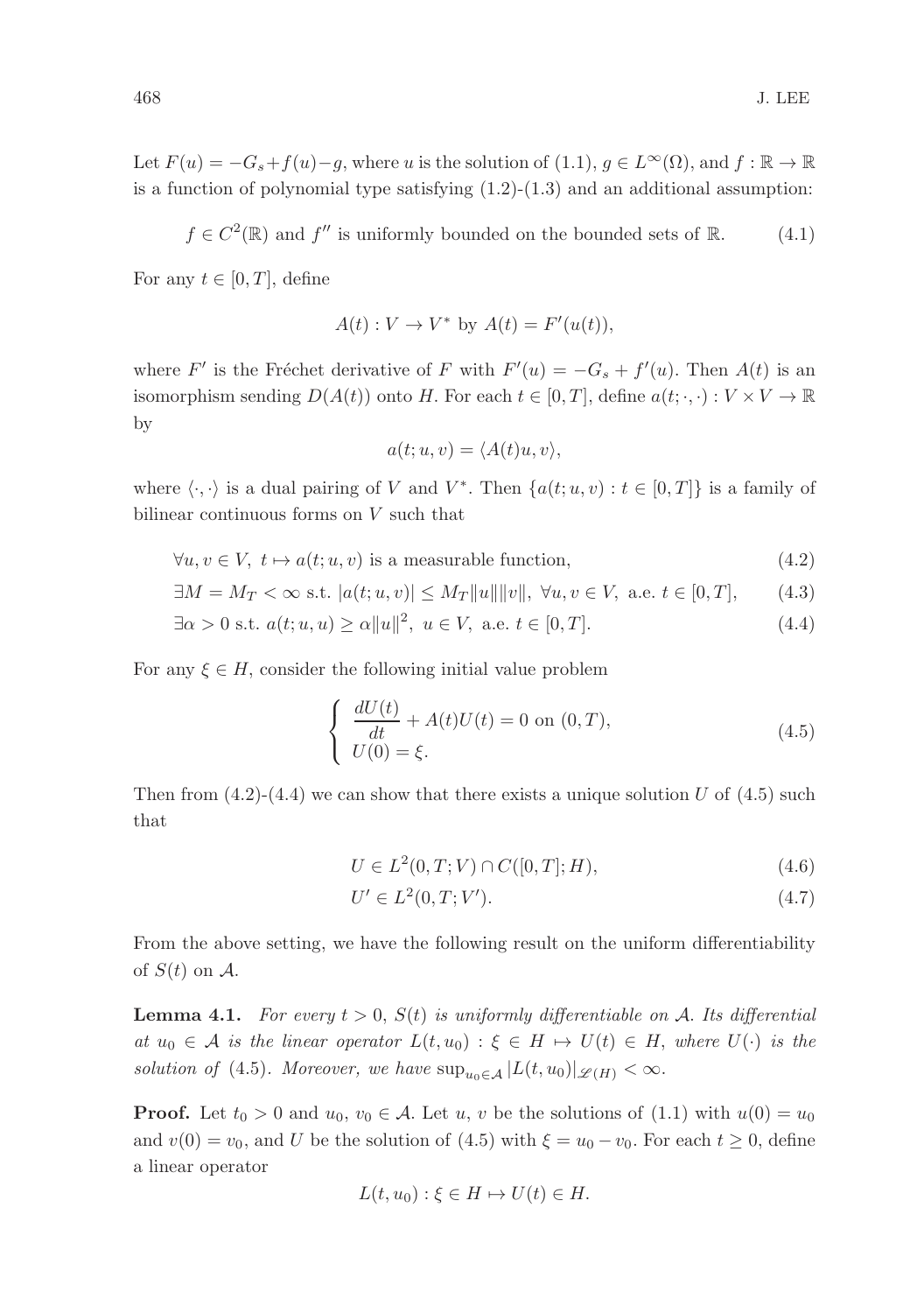Let  $F(u) = -G_s + f(u) - g$ , where u is the solution of (1.1),  $g \in L^{\infty}(\Omega)$ , and  $f : \mathbb{R} \to \mathbb{R}$ is a function of polynomial type satisfying  $(1.2)-(1.3)$  and an additional assumption:

$$
f \in C^2(\mathbb{R})
$$
 and  $f''$  is uniformly bounded on the bounded sets of  $\mathbb{R}$ . (4.1)

For any  $t \in [0, T]$ , define

$$
A(t): V \to V^* \text{ by } A(t) = F'(u(t)),
$$

where F' is the Fréchet derivative of F with  $F'(u) = -G_s + f'(u)$ . Then  $A(t)$  is an isomorphism sending  $D(A(t))$  onto H. For each  $t \in [0, T]$ , define  $a(t; \cdot, \cdot) : V \times V \to \mathbb{R}$ by

$$
a(t;u,v) = \langle A(t)u, v \rangle,
$$

where  $\langle \cdot, \cdot \rangle$  is a dual pairing of V and  $V^*$ . Then  $\{a(t; u, v) : t \in [0, T]\}$  is a family of bilinear continuous forms on V such that

 $\forall u, v \in V, t \mapsto a(t; u, v)$  is a measurable function, (4.2)

$$
\exists M = M_T < \infty \text{ s.t. } |a(t; u, v)| \le M_T \|u\| \|v\|, \ \forall u, v \in V, \text{ a.e. } t \in [0, T], \tag{4.3}
$$

$$
\exists \alpha > 0 \text{ s.t. } a(t; u, u) \ge \alpha ||u||^2, \ u \in V, \text{ a.e. } t \in [0, T].
$$
 (4.4)

For any  $\xi \in H$ , consider the following initial value problem

$$
\begin{cases}\n\frac{dU(t)}{dt} + A(t)U(t) = 0 \text{ on } (0, T), \\
U(0) = \xi.\n\end{cases}
$$
\n(4.5)

Then from  $(4.2)-(4.4)$  we can show that there exists a unique solution U of  $(4.5)$  such that

$$
U \in L^{2}(0, T; V) \cap C([0, T]; H), \tag{4.6}
$$

$$
U' \in L^2(0, T; V').
$$
\n(4.7)

From the above setting, we have the following result on the uniform differentiability of  $S(t)$  on  $A$ .

**Lemma 4.1.** For every  $t > 0$ ,  $S(t)$  is uniformly differentiable on A. Its differential at  $u_0 \in \mathcal{A}$  is the linear operator  $L(t, u_0) : \xi \in H \mapsto U(t) \in H$ , where  $U(\cdot)$  is the solution of (4.5). Moreover, we have  $\sup_{u_0 \in A} |L(t, u_0)|_{\mathscr{L}(H)} < \infty$ .

**Proof.** Let  $t_0 > 0$  and  $u_0, v_0 \in A$ . Let u, v be the solutions of (1.1) with  $u(0) = u_0$ and  $v(0) = v_0$ , and U be the solution of (4.5) with  $\xi = u_0 - v_0$ . For each  $t \ge 0$ , define a linear operator

$$
L(t, u_0) : \xi \in H \mapsto U(t) \in H.
$$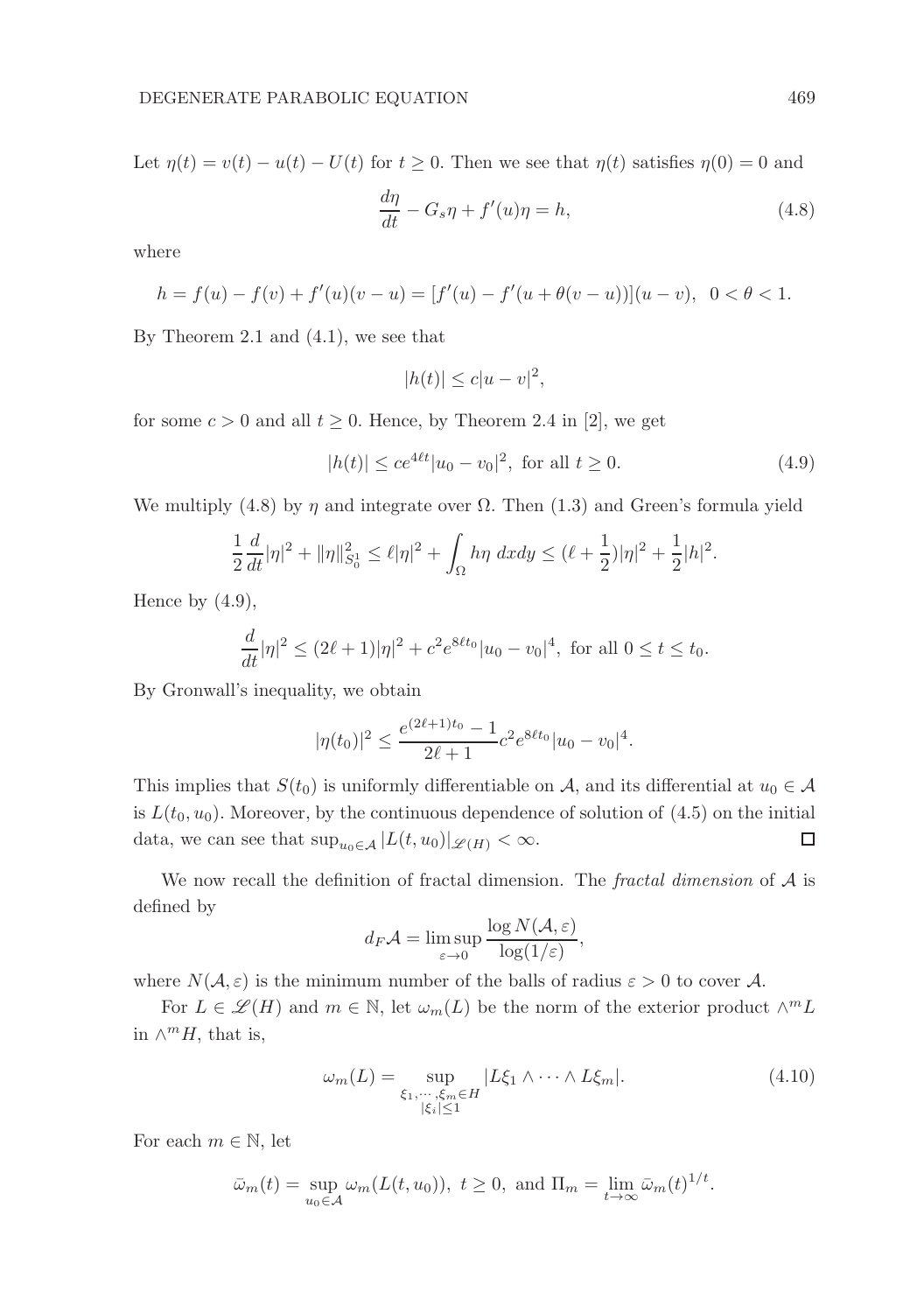Let  $\eta(t) = v(t) - u(t) - U(t)$  for  $t \ge 0$ . Then we see that  $\eta(t)$  satisfies  $\eta(0) = 0$  and

$$
\frac{d\eta}{dt} - G_s \eta + f'(u)\eta = h,\t\t(4.8)
$$

where

$$
h = f(u) - f(v) + f'(u)(v - u) = [f'(u) - f'(u + \theta(v - u))](u - v), \ \ 0 < \theta < 1.
$$

By Theorem 2.1 and (4.1), we see that

$$
|h(t)| \le c|u - v|^2,
$$

for some  $c > 0$  and all  $t > 0$ . Hence, by Theorem 2.4 in [2], we get

$$
|h(t)| \le ce^{4\ell t}|u_0 - v_0|^2, \text{ for all } t \ge 0.
$$
 (4.9)

We multiply (4.8) by  $\eta$  and integrate over  $\Omega$ . Then (1.3) and Green's formula yield

$$
\frac{1}{2}\frac{d}{dt}|\eta|^2 + \|\eta\|_{S_0^1}^2 \le \ell |\eta|^2 + \int_{\Omega} h\eta \ dx dy \le (\ell + \frac{1}{2})|\eta|^2 + \frac{1}{2}|h|^2.
$$

Hence by  $(4.9)$ ,

$$
\frac{d}{dt}|\eta|^2 \le (2\ell+1)|\eta|^2 + c^2 e^{8\ell t_0} |u_0 - v_0|^4
$$
, for all  $0 \le t \le t_0$ .

By Gronwall's inequality, we obtain

$$
|\eta(t_0)|^2 \le \frac{e^{(2\ell+1)t_0} - 1}{2\ell+1} c^2 e^{8\ell t_0} |u_0 - v_0|^4.
$$

This implies that  $S(t_0)$  is uniformly differentiable on A, and its differential at  $u_0 \in A$ is  $L(t_0, u_0)$ . Moreover, by the continuous dependence of solution of  $(4.5)$  on the initial data, we can see that  $\sup_{u_0 \in \mathcal{A}} |L(t, u_0)|_{\mathscr{L}(H)} < \infty$ . □

We now recall the definition of fractal dimension. The *fractal dimension* of  $A$  is defined by

$$
d_F \mathcal{A} = \limsup_{\varepsilon \to 0} \frac{\log N(\mathcal{A}, \varepsilon)}{\log(1/\varepsilon)},
$$

where  $N(\mathcal{A}, \varepsilon)$  is the minimum number of the balls of radius  $\varepsilon > 0$  to cover A.

For  $L \in \mathscr{L}(H)$  and  $m \in \mathbb{N}$ , let  $\omega_m(L)$  be the norm of the exterior product  $\wedge^m L$ in  $\wedge^m H$ , that is,

$$
\omega_m(L) = \sup_{\substack{\xi_1, \cdots, \xi_m \in H \\ |\xi_i| \le 1}} |L\xi_1 \wedge \cdots \wedge L\xi_m|.
$$
 (4.10)

For each  $m \in \mathbb{N}$ , let

$$
\bar{\omega}_m(t) = \sup_{u_0 \in \mathcal{A}} \omega_m(L(t, u_0)), \ t \ge 0, \text{ and } \Pi_m = \lim_{t \to \infty} \bar{\omega}_m(t)^{1/t}.
$$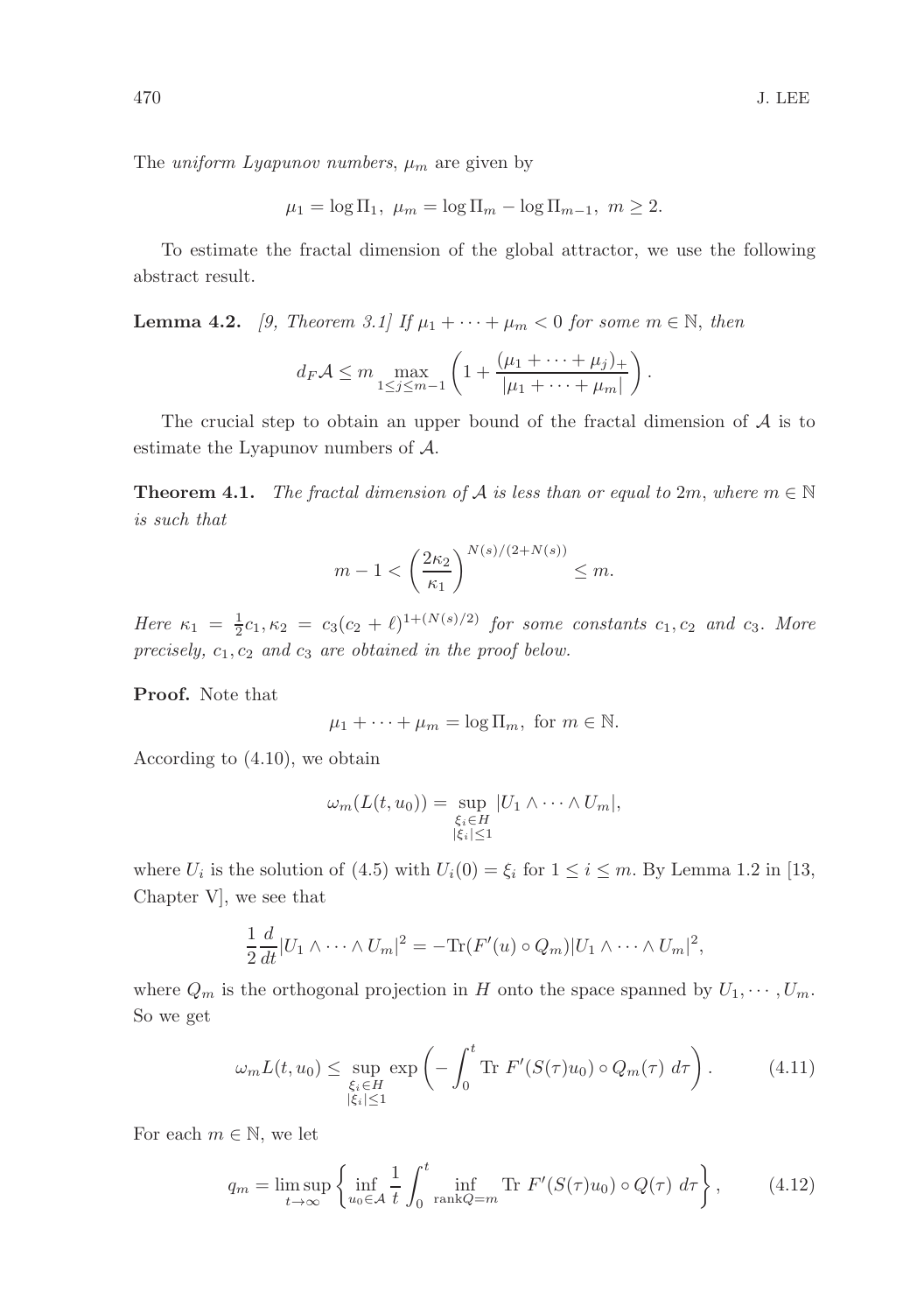The *uniform Lyapunov numbers*,  $\mu_m$  are given by

$$
\mu_1 = \log \Pi_1
$$
,  $\mu_m = \log \Pi_m - \log \Pi_{m-1}$ ,  $m \ge 2$ .

To estimate the fractal dimension of the global attractor, we use the following abstract result.

**Lemma 4.2.** [9, Theorem 3.1] If  $\mu_1 + \cdots + \mu_m < 0$  for some  $m \in \mathbb{N}$ , then

$$
d_F \mathcal{A} \leq m \max_{1 \leq j \leq m-1} \left( 1 + \frac{(\mu_1 + \dots + \mu_j)_+}{|\mu_1 + \dots + \mu_m|} \right).
$$

The crucial step to obtain an upper bound of the fractal dimension of  $A$  is to estimate the Lyapunov numbers of A.

**Theorem 4.1.** The fractal dimension of A is less than or equal to 2m, where  $m \in \mathbb{N}$ is such that

$$
m-1 < \left(\frac{2\kappa_2}{\kappa_1}\right)^{N(s)/(2+N(s))} \le m.
$$

Here  $\kappa_1 = \frac{1}{2}c_1, \kappa_2 = c_3(c_2 + \ell)^{1 + (N(s)/2)}$  for some constants  $c_1, c_2$  and  $c_3$ . More precisely,  $c_1, c_2$  and  $c_3$  are obtained in the proof below.

Proof. Note that

$$
\mu_1 + \cdots + \mu_m = \log \Pi_m, \text{ for } m \in \mathbb{N}.
$$

According to (4.10), we obtain

$$
\omega_m(L(t, u_0)) = \sup_{\substack{\xi_i \in H \\ |\xi_i| \le 1}} |U_1 \wedge \cdots \wedge U_m|,
$$

where  $U_i$  is the solution of (4.5) with  $U_i(0) = \xi_i$  for  $1 \le i \le m$ . By Lemma 1.2 in [13, Chapter V], we see that

$$
\frac{1}{2}\frac{d}{dt}|U_1\wedge\cdots\wedge U_m|^2=-\text{Tr}(F'(u)\circ Q_m)|U_1\wedge\cdots\wedge U_m|^2,
$$

where  $Q_m$  is the orthogonal projection in H onto the space spanned by  $U_1, \dots, U_m$ . So we get

$$
\omega_m L(t, u_0) \leq \sup_{\substack{\xi_i \in H \\ |\xi_i| \leq 1}} \exp\left(-\int_0^t \text{Tr } F'(S(\tau)u_0) \circ Q_m(\tau) d\tau\right). \tag{4.11}
$$

For each  $m \in \mathbb{N}$ , we let

$$
q_m = \limsup_{t \to \infty} \left\{ \inf_{u_0 \in \mathcal{A}} \frac{1}{t} \int_0^t \inf_{\text{rank}Q = m} \text{Tr } F'(S(\tau)u_0) \circ Q(\tau) \, d\tau \right\},\tag{4.12}
$$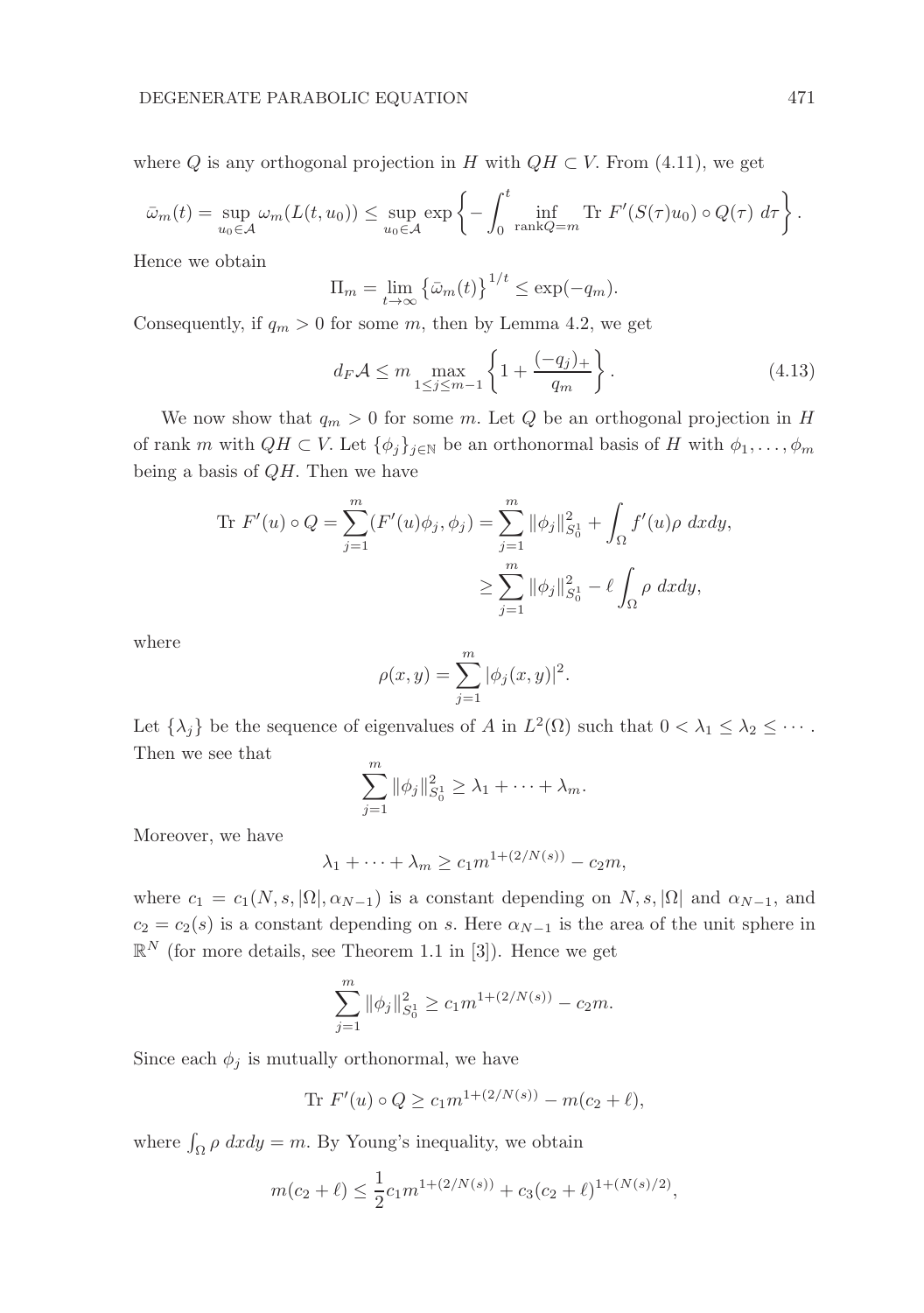where Q is any orthogonal projection in H with  $QH \subset V$ . From (4.11), we get

$$
\bar{\omega}_m(t) = \sup_{u_0 \in \mathcal{A}} \omega_m(L(t, u_0)) \le \sup_{u_0 \in \mathcal{A}} \exp \left\{-\int_0^t \inf_{\text{rank}Q = m} \text{Tr } F'(S(\tau)u_0) \circ Q(\tau) d\tau\right\}.
$$

Hence we obtain

$$
\Pi_m = \lim_{t \to \infty} \left\{ \bar{\omega}_m(t) \right\}^{1/t} \le \exp(-q_m).
$$

Consequently, if  $q_m > 0$  for some m, then by Lemma 4.2, we get

$$
d_F \mathcal{A} \le m \max_{1 \le j \le m-1} \left\{ 1 + \frac{(-q_j)_+}{q_m} \right\}.
$$
 (4.13)

We now show that  $q_m > 0$  for some m. Let Q be an orthogonal projection in H of rank m with  $QH \subset V$ . Let  $\{\phi_j\}_{j \in \mathbb{N}}$  be an orthonormal basis of H with  $\phi_1, \ldots, \phi_m$ being a basis of  $QH$ . Then we have

Tr 
$$
F'(u) \circ Q = \sum_{j=1}^{m} (F'(u)\phi_j, \phi_j) = \sum_{j=1}^{m} ||\phi_j||_{S_0^1}^2 + \int_{\Omega} f'(u)\rho \,dxdy,
$$
  

$$
\geq \sum_{j=1}^{m} ||\phi_j||_{S_0^1}^2 - \ell \int_{\Omega} \rho \,dxdy,
$$

where

$$
\rho(x, y) = \sum_{j=1}^{m} |\phi_j(x, y)|^2.
$$

Let  $\{\lambda_j\}$  be the sequence of eigenvalues of A in  $L^2(\Omega)$  such that  $0 < \lambda_1 \leq \lambda_2 \leq \cdots$ . Then we see that

$$
\sum_{j=1}^m \|\phi_j\|_{S_0^1}^2 \geq \lambda_1 + \cdots + \lambda_m.
$$

Moreover, we have

$$
\lambda_1 + \dots + \lambda_m \ge c_1 m^{1 + (2/N(s))} - c_2 m,
$$

where  $c_1 = c_1(N, s, |\Omega|, \alpha_{N-1})$  is a constant depending on  $N, s, |\Omega|$  and  $\alpha_{N-1}$ , and  $c_2 = c_2(s)$  is a constant depending on s. Here  $\alpha_{N-1}$  is the area of the unit sphere in  $\mathbb{R}^N$  (for more details, see Theorem 1.1 in [3]). Hence we get

$$
\sum_{j=1}^{m} \|\phi_j\|_{S_0^1}^2 \ge c_1 m^{1 + (2/N(s))} - c_2 m.
$$

Since each  $\phi_j$  is mutually orthonormal, we have

Tr 
$$
F'(u) \circ Q \ge c_1 m^{1 + (2/N(s))} - m(c_2 + \ell),
$$

where  $\int_{\Omega} \rho \, dx dy = m$ . By Young's inequality, we obtain

$$
m(c_2 + \ell) \le \frac{1}{2}c_1m^{1 + (2/N(s))} + c_3(c_2 + \ell)^{1 + (N(s)/2)},
$$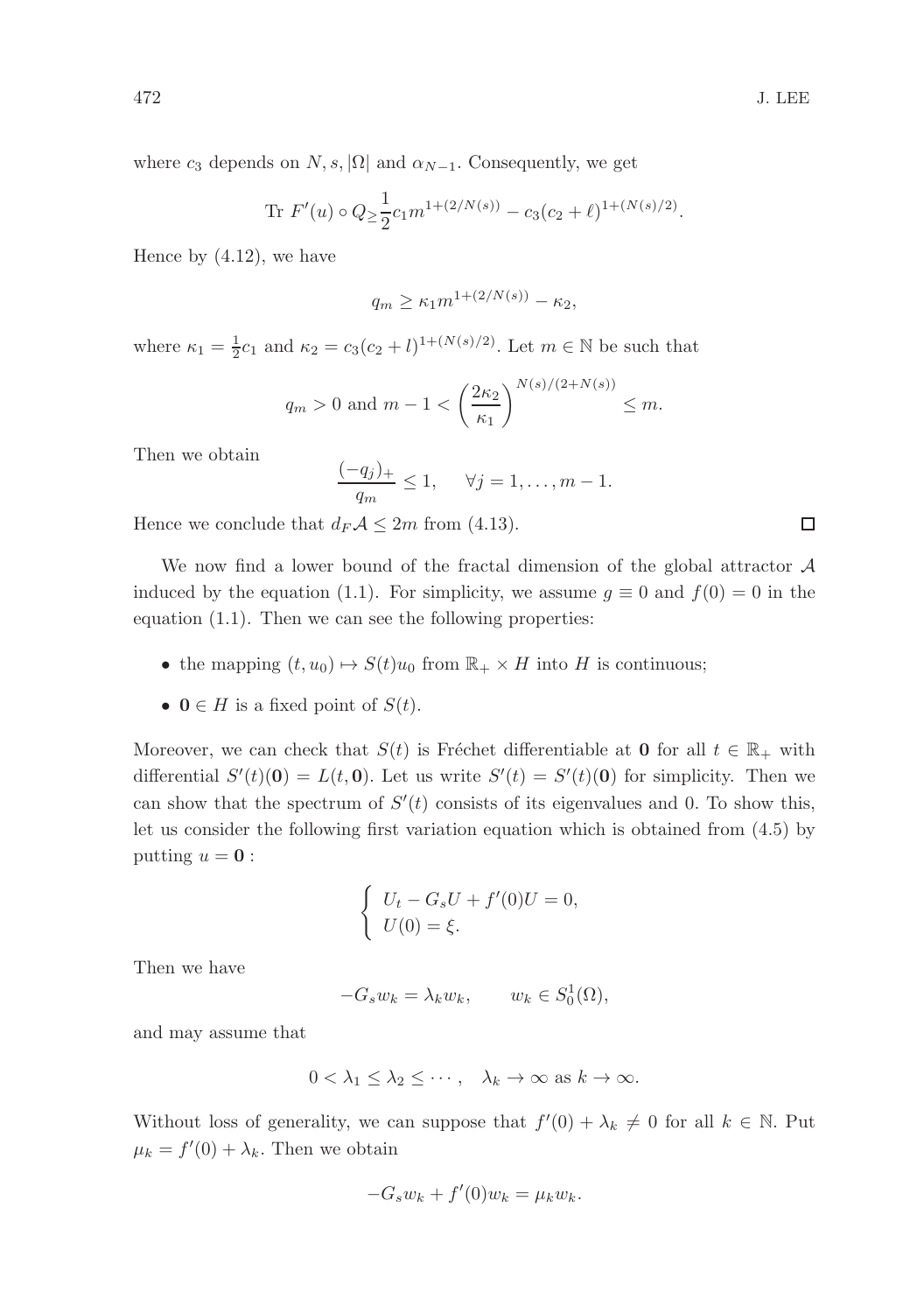where  $c_3$  depends on  $N, s, |\Omega|$  and  $\alpha_{N-1}$ . Consequently, we get

Tr 
$$
F'(u) \circ Q \ge \frac{1}{2} c_1 m^{1 + (2/N(s))} - c_3 (c_2 + \ell)^{1 + (N(s)/2)}
$$
.

Hence by (4.12), we have

$$
q_m \ge \kappa_1 m^{1 + (2/N(s))} - \kappa_2,
$$

where  $\kappa_1 = \frac{1}{2}c_1$  and  $\kappa_2 = c_3(c_2 + l)^{1 + (N(s)/2)}$ . Let  $m \in \mathbb{N}$  be such that

$$
q_m > 0
$$
 and  $m - 1 < \left(\frac{2\kappa_2}{\kappa_1}\right)^{N(s)/(2+N(s))} \le m$ .

Then we obtain

$$
\frac{(-q_j)_+}{q_m} \le 1, \quad \forall j = 1, \dots, m-1.
$$

Hence we conclude that  $d_F \mathcal{A} \leq 2m$  from (4.13).

We now find a lower bound of the fractal dimension of the global attractor  $A$ induced by the equation (1.1). For simplicity, we assume  $g \equiv 0$  and  $f(0) = 0$  in the equation (1.1). Then we can see the following properties:

- the mapping  $(t, u_0) \mapsto S(t)u_0$  from  $\mathbb{R}_+ \times H$  into H is continuous;
- $0 \in H$  is a fixed point of  $S(t)$ .

Moreover, we can check that  $S(t)$  is Fréchet differentiable at 0 for all  $t \in \mathbb{R}_+$  with differential  $S'(t)(0) = L(t, 0)$ . Let us write  $S'(t) = S'(t)(0)$  for simplicity. Then we can show that the spectrum of  $S'(t)$  consists of its eigenvalues and 0. To show this, let us consider the following first variation equation which is obtained from (4.5) by putting  $u = 0$ :

$$
\begin{cases}\nU_t - G_s U + f'(0)U = 0, \\
U(0) = \xi.\n\end{cases}
$$

Then we have

$$
-G_s w_k = \lambda_k w_k, \qquad w_k \in S_0^1(\Omega),
$$

and may assume that

$$
0 < \lambda_1 \leq \lambda_2 \leq \cdots, \quad \lambda_k \to \infty \text{ as } k \to \infty.
$$

Without loss of generality, we can suppose that  $f'(0) + \lambda_k \neq 0$  for all  $k \in \mathbb{N}$ . Put  $\mu_k = f'(0) + \lambda_k$ . Then we obtain

$$
-G_s w_k + f'(0) w_k = \mu_k w_k.
$$

 $\Box$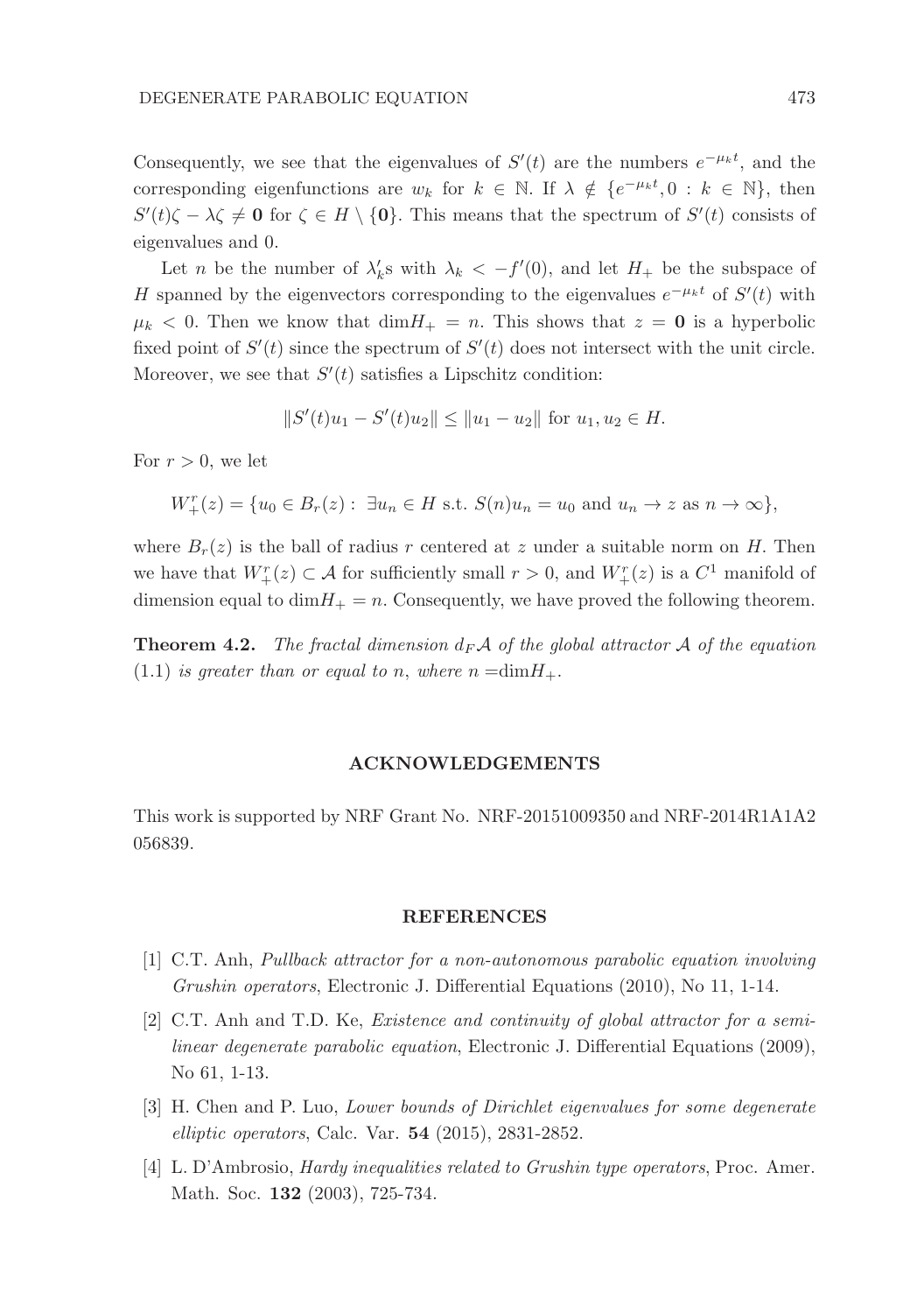Consequently, we see that the eigenvalues of  $S'(t)$  are the numbers  $e^{-\mu_k t}$ , and the corresponding eigenfunctions are  $w_k$  for  $k \in \mathbb{N}$ . If  $\lambda \notin \{e^{-\mu_k t}, 0 : k \in \mathbb{N}\}\)$ , then  $S'(t)\zeta - \lambda \zeta \neq \mathbf{0}$  for  $\zeta \in H \setminus \{\mathbf{0}\}\)$ . This means that the spectrum of  $S'(t)$  consists of eigenvalues and 0.

Let *n* be the number of  $\lambda'_k$ s with  $\lambda_k < -f'(0)$ , and let  $H_+$  be the subspace of H spanned by the eigenvectors corresponding to the eigenvalues  $e^{-\mu_k t}$  of  $S'(t)$  with  $\mu_k$  < 0. Then we know that  $\dim H_+ = n$ . This shows that  $z = 0$  is a hyperbolic fixed point of  $S'(t)$  since the spectrum of  $S'(t)$  does not intersect with the unit circle. Moreover, we see that  $S'(t)$  satisfies a Lipschitz condition:

$$
||S'(t)u_1 - S'(t)u_2|| \le ||u_1 - u_2|| \text{ for } u_1, u_2 \in H.
$$

For  $r > 0$ , we let

$$
W_+^r(z) = \{u_0 \in B_r(z) : \exists u_n \in H \text{ s.t. } S(n)u_n = u_0 \text{ and } u_n \to z \text{ as } n \to \infty\},\
$$

where  $B_r(z)$  is the ball of radius r centered at z under a suitable norm on H. Then we have that  $W^r_+(z) \subset \mathcal{A}$  for sufficiently small  $r > 0$ , and  $W^r_+(z)$  is a  $C^1$  manifold of dimension equal to  $\dim H_+ = n$ . Consequently, we have proved the following theorem.

**Theorem 4.2.** The fractal dimension  $d_F A$  of the global attractor A of the equation  $(1.1)$  is greater than or equal to n, where  $n = dim H_+$ .

## ACKNOWLEDGEMENTS

This work is supported by NRF Grant No. NRF-20151009350 and NRF-2014R1A1A2 056839.

#### REFERENCES

- [1] C.T. Anh, Pullback attractor for a non-autonomous parabolic equation involving Grushin operators, Electronic J. Differential Equations (2010), No 11, 1-14.
- [2] C.T. Anh and T.D. Ke, Existence and continuity of global attractor for a semilinear degenerate parabolic equation, Electronic J. Differential Equations (2009), No 61, 1-13.
- [3] H. Chen and P. Luo, Lower bounds of Dirichlet eigenvalues for some degenerate elliptic operators, Calc. Var. 54 (2015), 2831-2852.
- [4] L. D'Ambrosio, Hardy inequalities related to Grushin type operators, Proc. Amer. Math. Soc. 132 (2003), 725-734.